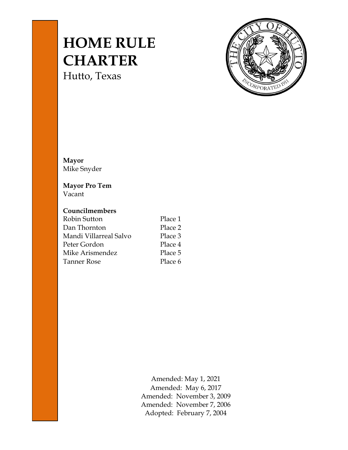# **HOME RULE CHARTER**

Hutto, Texas



**Mayor** Mike Snyder

## **Mayor Pro Tem** Vacant

## **Councilmembers**

| Robin Sutton           | Place 1 |
|------------------------|---------|
| Dan Thornton           | Place 2 |
| Mandi Villarreal Salvo | Place 3 |
| Peter Gordon           | Place 4 |
| Mike Arismendez        | Place 5 |
| Tanner Rose            | Place 6 |
|                        |         |

Amended: May 1, 2021 Amended: May 6, 2017 Amended: November 3, 2009 Amended: November 7, 2006 Adopted: February 7, 2004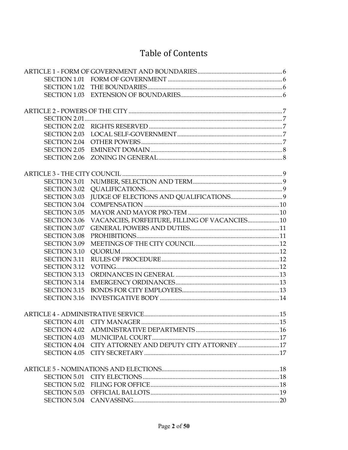## **Table of Contents**

| <b>SECTION 1.02</b>                        |                                                        |  |
|--------------------------------------------|--------------------------------------------------------|--|
| <b>SECTION 1.03</b>                        |                                                        |  |
|                                            |                                                        |  |
|                                            |                                                        |  |
|                                            |                                                        |  |
| <b>SECTION 2.03</b>                        |                                                        |  |
| <b>SECTION 2.04</b>                        |                                                        |  |
| <b>SECTION 2.05</b>                        |                                                        |  |
| <b>SECTION 2.06</b>                        |                                                        |  |
|                                            |                                                        |  |
| <b>SECTION 3.01</b>                        |                                                        |  |
| <b>SECTION 3.02</b>                        |                                                        |  |
| <b>SECTION 3.03</b>                        |                                                        |  |
| <b>SECTION 3.04</b>                        |                                                        |  |
| <b>SECTION 3.05</b>                        |                                                        |  |
| <b>SECTION 3.06</b>                        | VACANCIES, FORFEITURE, FILLING OF VACANCIES 10         |  |
| <b>SECTION 3.07</b>                        |                                                        |  |
| <b>SECTION 3.08</b>                        |                                                        |  |
|                                            |                                                        |  |
| <b>SECTION 3.09</b><br><b>SECTION 3.10</b> |                                                        |  |
| <b>SECTION 3.11</b>                        |                                                        |  |
|                                            |                                                        |  |
| <b>SECTION 3.12</b><br><b>SECTION 3.13</b> |                                                        |  |
|                                            |                                                        |  |
| <b>SECTION 3.14</b><br><b>SECTION 3.15</b> |                                                        |  |
|                                            |                                                        |  |
| <b>SECTION 3.16</b>                        |                                                        |  |
|                                            |                                                        |  |
|                                            |                                                        |  |
| <b>SECTION 4.02</b>                        |                                                        |  |
| <b>SECTION 4.03</b>                        |                                                        |  |
|                                            | SECTION 4.04 CITY ATTORNEY AND DEPUTY CITY ATTORNEY 17 |  |
|                                            |                                                        |  |
|                                            |                                                        |  |
| <b>SECTION 5.01</b>                        |                                                        |  |
| <b>SECTION 5.02</b>                        |                                                        |  |
|                                            |                                                        |  |
|                                            |                                                        |  |
|                                            |                                                        |  |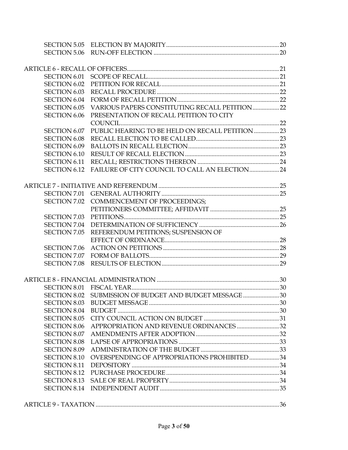| <b>SECTION 6.01</b> |                                                         |  |
|---------------------|---------------------------------------------------------|--|
| <b>SECTION 6.02</b> |                                                         |  |
| <b>SECTION 6.03</b> |                                                         |  |
| <b>SECTION 6.04</b> |                                                         |  |
| <b>SECTION 6.05</b> | VARIOUS PAPERS CONSTITUTING RECALL PETITION22           |  |
| <b>SECTION 6.06</b> | PRESENTATION OF RECALL PETITION TO CITY                 |  |
|                     |                                                         |  |
| <b>SECTION 6.07</b> | PUBLIC HEARING TO BE HELD ON RECALL PETITION 23         |  |
| <b>SECTION 6.08</b> |                                                         |  |
| <b>SECTION 6.09</b> |                                                         |  |
| <b>SECTION 6.10</b> |                                                         |  |
| <b>SECTION 6.11</b> |                                                         |  |
| <b>SECTION 6.12</b> |                                                         |  |
|                     |                                                         |  |
|                     |                                                         |  |
| <b>SECTION 7.02</b> | <b>COMMENCEMENT OF PROCEEDINGS;</b>                     |  |
|                     |                                                         |  |
| <b>SECTION 7.03</b> |                                                         |  |
| <b>SECTION 7.04</b> |                                                         |  |
| <b>SECTION 7.05</b> | REFERENDUM PETITIONS; SUSPENSION OF                     |  |
|                     |                                                         |  |
| <b>SECTION 7.06</b> |                                                         |  |
| <b>SECTION 7.07</b> |                                                         |  |
| <b>SECTION 7.08</b> |                                                         |  |
|                     |                                                         |  |
|                     |                                                         |  |
|                     | SECTION 8.02 SUBMISSION OF BUDGET AND BUDGET MESSAGE 30 |  |
| <b>SECTION 8.03</b> |                                                         |  |
| <b>SECTION 8.04</b> |                                                         |  |
| <b>SECTION 8.05</b> |                                                         |  |
| <b>SECTION 8.06</b> | APPROPRIATION AND REVENUE ORDINANCES 32                 |  |
| <b>SECTION 8.07</b> |                                                         |  |
| <b>SECTION 8.08</b> |                                                         |  |
| <b>SECTION 8.09</b> |                                                         |  |
| <b>SECTION 8.10</b> | OVERSPENDING OF APPROPRIATIONS PROHIBITED 34            |  |
| <b>SECTION 8.11</b> |                                                         |  |
| <b>SECTION 8.12</b> |                                                         |  |
| <b>SECTION 8.13</b> |                                                         |  |
|                     |                                                         |  |
|                     |                                                         |  |
|                     |                                                         |  |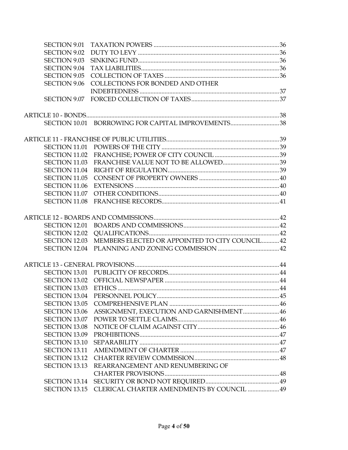| <b>SECTION 9.01</b>  |                                                    |  |
|----------------------|----------------------------------------------------|--|
| <b>SECTION 9.02</b>  |                                                    |  |
| <b>SECTION 9.03</b>  |                                                    |  |
| <b>SECTION 9.04</b>  |                                                    |  |
| <b>SECTION 9.05</b>  |                                                    |  |
| <b>SECTION 9.06</b>  | COLLECTIONS FOR BONDED AND OTHER                   |  |
|                      |                                                    |  |
|                      |                                                    |  |
|                      |                                                    |  |
|                      | SECTION 10.01 BORROWING FOR CAPITAL IMPROVEMENTS38 |  |
|                      |                                                    |  |
| SECTION 11.01        |                                                    |  |
| <b>SECTION 11.02</b> |                                                    |  |
| <b>SECTION 11.03</b> |                                                    |  |
| <b>SECTION 11.04</b> |                                                    |  |
| <b>SECTION 11.05</b> |                                                    |  |
| <b>SECTION 11.06</b> |                                                    |  |
| SECTION 11.07        |                                                    |  |
| <b>SECTION 11.08</b> |                                                    |  |
|                      |                                                    |  |
| SECTION 12.01        |                                                    |  |
| <b>SECTION 12.02</b> |                                                    |  |
| <b>SECTION 12.03</b> | MEMBERS ELECTED OR APPOINTED TO CITY COUNCIL 42    |  |
|                      |                                                    |  |
|                      |                                                    |  |
|                      |                                                    |  |
| <b>SECTION 13.02</b> |                                                    |  |
| <b>SECTION 13.03</b> |                                                    |  |
|                      |                                                    |  |
| <b>SECTION 13.05</b> |                                                    |  |
| <b>SECTION 13.06</b> | ASSIGNMENT, EXECUTION AND GARNISHMENT 46           |  |
| SECTION 13.07        |                                                    |  |
| <b>SECTION 13.08</b> |                                                    |  |
| <b>SECTION 13.09</b> |                                                    |  |
| <b>SECTION 13.10</b> |                                                    |  |
| <b>SECTION 13.11</b> |                                                    |  |
| <b>SECTION 13.12</b> |                                                    |  |
| <b>SECTION 13.13</b> | REARRANGEMENT AND RENUMBERING OF                   |  |
|                      |                                                    |  |
| <b>SECTION 13.14</b> |                                                    |  |
| <b>SECTION 13.15</b> | CLERICAL CHARTER AMENDMENTS BY COUNCIL  49         |  |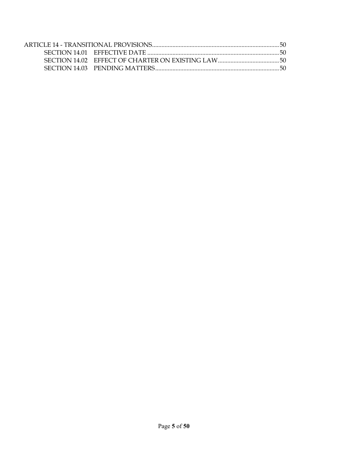| SECTION 14.02 EFFECT OF CHARTER ON EXISTING LAW |  |
|-------------------------------------------------|--|
|                                                 |  |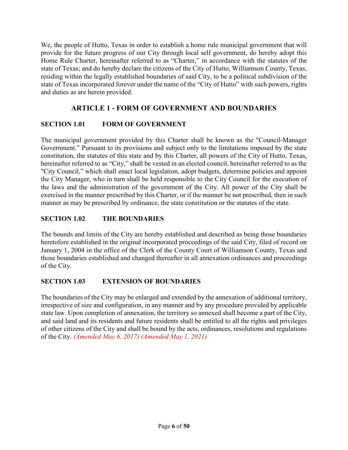We, the people of Hutto, Texas in order to establish a home rule municipal government that will provide for the future progress of our City through local self government, do hereby adopt this Home Rule Charter, hereinafter referred to as "Charter," in accordance with the statutes of the state of Texas; and do hereby declare the citizens of the City of Hutto, Williamson County, Texas, residing within the legally established boundaries of said City, to be a political subdivision of the state of Texas incorporated forever under the name of the "City of Hutto" with such powers, rights and duties as are herein provided.

## **ARTICLE 1 - FORM OF GOVERNMENT AND BOUNDARIES**

## <span id="page-5-1"></span><span id="page-5-0"></span>**SECTION 1.01 FORM OF GOVERNMENT**

The municipal government provided by this Charter shall be known as the "Council-Manager Government." Pursuant to its provisions and subject only to the limitations imposed by the state constitution, the statutes of this state and by this Charter, all powers of the City of Hutto, Texas, hereinafter referred to as "City," shall be vested in an elected council, hereinafter referred to as the "City Council," which shall enact local legislation, adopt budgets, determine policies and appoint the City Manager, who in turn shall be held responsible to the City Council for the execution of the laws and the administration of the government of the City. All power of the City shall be exercised in the manner prescribed by this Charter, or if the manner be not prescribed, then in such manner as may be prescribed by ordinance, the state constitution or the statutes of the state.

## <span id="page-5-2"></span>**SECTION 1.02 THE BOUNDARIES**

The bounds and limits of the City are hereby established and described as being those boundaries heretofore established in the original incorporated proceedings of the said City, filed of record on January 1, 2004 in the office of the Clerk of the County Court of Williamson County, Texas and those boundaries established and changed thereafter in all annexation ordinances and proceedings of the City.

## <span id="page-5-3"></span>**SECTION 1.03 EXTENSION OF BOUNDARIES**

The boundaries of the City may be enlarged and extended by the annexation of additional territory, irrespective of size and configuration, in any manner and by any procedure provided by applicable state law. Upon completion of annexation, the territory so annexed shall become a part of the City, and said land and its residents and future residents shall be entitled to all the rights and privileges of other citizens of the City and shall be bound by the acts, ordinances, resolutions and regulations of the City. *(Amended May 6, 2017) (Amended May 1, 2021)*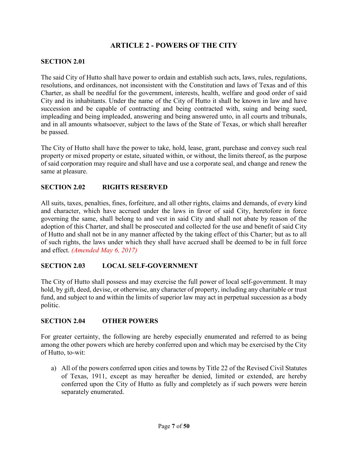## **ARTICLE 2 - POWERS OF THE CITY**

## <span id="page-6-1"></span><span id="page-6-0"></span>**SECTION 2.01**

The said City of Hutto shall have power to ordain and establish such acts, laws, rules, regulations, resolutions, and ordinances, not inconsistent with the Constitution and laws of Texas and of this Charter, as shall be needful for the government, interests, health, welfare and good order of said City and its inhabitants. Under the name of the City of Hutto it shall be known in law and have succession and be capable of contracting and being contracted with, suing and being sued, impleading and being impleaded, answering and being answered unto, in all courts and tribunals, and in all amounts whatsoever, subject to the laws of the State of Texas, or which shall hereafter be passed.

The City of Hutto shall have the power to take, hold, lease, grant, purchase and convey such real property or mixed property or estate, situated within, or without, the limits thereof, as the purpose of said corporation may require and shall have and use a corporate seal, and change and renew the same at pleasure.

## <span id="page-6-2"></span>**SECTION 2.02 RIGHTS RESERVED**

All suits, taxes, penalties, fines, forfeiture, and all other rights, claims and demands, of every kind and character, which have accrued under the laws in favor of said City, heretofore in force governing the same, shall belong to and vest in said City and shall not abate by reason of the adoption of this Charter, and shall be prosecuted and collected for the use and benefit of said City of Hutto and shall not be in any manner affected by the taking effect of this Charter; but as to all of such rights, the laws under which they shall have accrued shall be deemed to be in full force and effect. *(Amended May 6, 2017)*

## <span id="page-6-3"></span>**SECTION 2.03 LOCAL SELF-GOVERNMENT**

The City of Hutto shall possess and may exercise the full power of local self-government. It may hold, by gift, deed, devise, or otherwise, any character of property, including any charitable or trust fund, and subject to and within the limits of superior law may act in perpetual succession as a body politic.

#### <span id="page-6-4"></span>**SECTION 2.04 OTHER POWERS**

For greater certainty, the following are hereby especially enumerated and referred to as being among the other powers which are hereby conferred upon and which may be exercised by the City of Hutto, to-wit:

a) All of the powers conferred upon cities and towns by Title 22 of the Revised Civil Statutes of Texas, 1911, except as may hereafter be denied, limited or extended, are hereby conferred upon the City of Hutto as fully and completely as if such powers were herein separately enumerated.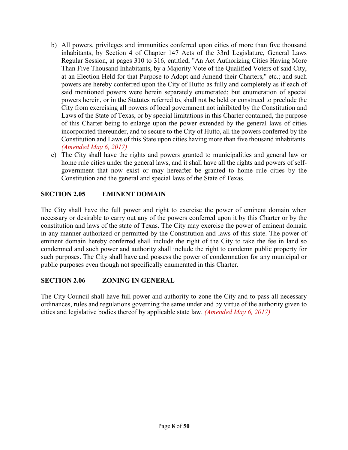- b) All powers, privileges and immunities conferred upon cities of more than five thousand inhabitants, by Section 4 of Chapter 147 Acts of the 33rd Legislature, General Laws Regular Session, at pages 310 to 316, entitled, "An Act Authorizing Cities Having More Than Five Thousand Inhabitants, by a Majority Vote of the Qualified Voters of said City, at an Election Held for that Purpose to Adopt and Amend their Charters," etc.; and such powers are hereby conferred upon the City of Hutto as fully and completely as if each of said mentioned powers were herein separately enumerated; but enumeration of special powers herein, or in the Statutes referred to, shall not be held or construed to preclude the City from exercising all powers of local government not inhibited by the Constitution and Laws of the State of Texas, or by special limitations in this Charter contained, the purpose of this Charter being to enlarge upon the power extended by the general laws of cities incorporated thereunder, and to secure to the City of Hutto, all the powers conferred by the Constitution and Laws of this State upon cities having more than five thousand inhabitants. *(Amended May 6, 2017)*
- c) The City shall have the rights and powers granted to municipalities and general law or home rule cities under the general laws, and it shall have all the rights and powers of selfgovernment that now exist or may hereafter be granted to home rule cities by the Constitution and the general and special laws of the State of Texas.

## <span id="page-7-0"></span>**SECTION 2.05 EMINENT DOMAIN**

The City shall have the full power and right to exercise the power of eminent domain when necessary or desirable to carry out any of the powers conferred upon it by this Charter or by the constitution and laws of the state of Texas. The City may exercise the power of eminent domain in any manner authorized or permitted by the Constitution and laws of this state. The power of eminent domain hereby conferred shall include the right of the City to take the fee in land so condemned and such power and authority shall include the right to condemn public property for such purposes. The City shall have and possess the power of condemnation for any municipal or public purposes even though not specifically enumerated in this Charter.

## <span id="page-7-1"></span>**SECTION 2.06 ZONING IN GENERAL**

The City Council shall have full power and authority to zone the City and to pass all necessary ordinances, rules and regulations governing the same under and by virtue of the authority given to cities and legislative bodies thereof by applicable state law. *(Amended May 6, 2017)*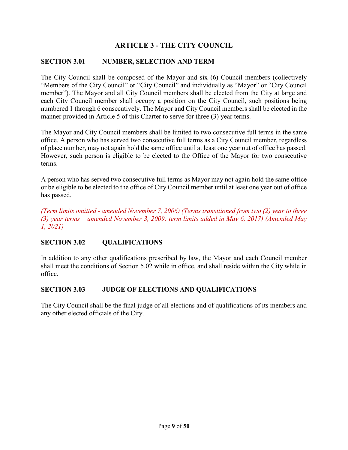## **ARTICLE 3 - THE CITY COUNCIL**

## <span id="page-8-1"></span><span id="page-8-0"></span>**SECTION 3.01 NUMBER, SELECTION AND TERM**

The City Council shall be composed of the Mayor and six (6) Council members (collectively "Members of the City Council" or "City Council" and individually as "Mayor" or "City Council member"). The Mayor and all City Council members shall be elected from the City at large and each City Council member shall occupy a position on the City Council, such positions being numbered 1 through 6 consecutively. The Mayor and City Council members shall be elected in the manner provided in Article 5 of this Charter to serve for three (3) year terms.

The Mayor and City Council members shall be limited to two consecutive full terms in the same office. A person who has served two consecutive full terms as a City Council member, regardless of place number, may not again hold the same office until at least one year out of office has passed. However, such person is eligible to be elected to the Office of the Mayor for two consecutive terms.

A person who has served two consecutive full terms as Mayor may not again hold the same office or be eligible to be elected to the office of City Council member until at least one year out of office has passed.

*(Term limits omitted - amended November 7, 2006) (Terms transitioned from two (2) year to three (3) year terms – amended November 3, 2009; term limits added in May 6, 2017) (Amended May 1, 2021)*

## <span id="page-8-2"></span>**SECTION 3.02 QUALIFICATIONS**

In addition to any other qualifications prescribed by law, the Mayor and each Council member shall meet the conditions of Section 5.02 while in office, and shall reside within the City while in office.

#### <span id="page-8-3"></span>**SECTION 3.03 JUDGE OF ELECTIONS AND QUALIFICATIONS**

The City Council shall be the final judge of all elections and of qualifications of its members and any other elected officials of the City.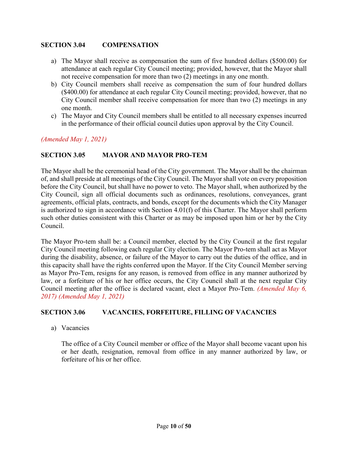## <span id="page-9-0"></span>**SECTION 3.04 COMPENSATION**

- a) The Mayor shall receive as compensation the sum of five hundred dollars (\$500.00) for attendance at each regular City Council meeting; provided, however, that the Mayor shall not receive compensation for more than two (2) meetings in any one month.
- b) City Council members shall receive as compensation the sum of four hundred dollars (\$400.00) for attendance at each regular City Council meeting; provided, however, that no City Council member shall receive compensation for more than two (2) meetings in any one month.
- c) The Mayor and City Council members shall be entitled to all necessary expenses incurred in the performance of their official council duties upon approval by the City Council.

*(Amended May 1, 2021)*

#### <span id="page-9-1"></span>**SECTION 3.05 MAYOR AND MAYOR PRO-TEM**

The Mayor shall be the ceremonial head of the City government. The Mayor shall be the chairman of, and shall preside at all meetings of the City Council. The Mayor shall vote on every proposition before the City Council, but shall have no power to veto. The Mayor shall, when authorized by the City Council, sign all official documents such as ordinances, resolutions, conveyances, grant agreements, official plats, contracts, and bonds, except for the documents which the City Manager is authorized to sign in accordance with Section 4.01(f) of this Charter. The Mayor shall perform such other duties consistent with this Charter or as may be imposed upon him or her by the City Council.

The Mayor Pro-tem shall be: a Council member, elected by the City Council at the first regular City Council meeting following each regular City election. The Mayor Pro-tem shall act as Mayor during the disability, absence, or failure of the Mayor to carry out the duties of the office, and in this capacity shall have the rights conferred upon the Mayor. If the City Council Member serving as Mayor Pro-Tem, resigns for any reason, is removed from office in any manner authorized by law, or a forfeiture of his or her office occurs, the City Council shall at the next regular City Council meeting after the office is declared vacant, elect a Mayor Pro-Tem. *(Amended May 6, 2017) (Amended May 1, 2021)*

#### <span id="page-9-2"></span>**SECTION 3.06 VACANCIES, FORFEITURE, FILLING OF VACANCIES**

a) Vacancies

The office of a City Council member or office of the Mayor shall become vacant upon his or her death, resignation, removal from office in any manner authorized by law, or forfeiture of his or her office.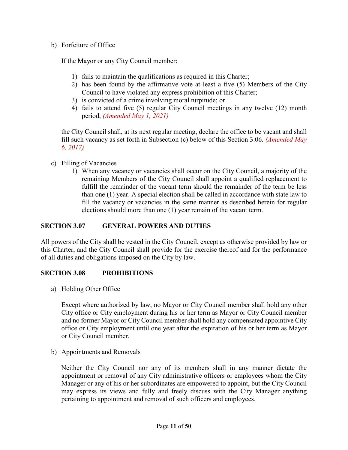#### b) Forfeiture of Office

If the Mayor or any City Council member:

- 1) fails to maintain the qualifications as required in this Charter;
- 2) has been found by the affirmative vote at least a five (5) Members of the City Council to have violated any express prohibition of this Charter;
- 3) is convicted of a crime involving moral turpitude; or
- 4) fails to attend five (5) regular City Council meetings in any twelve (12) month period, *(Amended May 1, 2021)*

the City Council shall, at its next regular meeting, declare the office to be vacant and shall fill such vacancy as set forth in Subsection (c) below of this Section 3.06. *(Amended May 6, 2017)*

#### c) Filling of Vacancies

1) When any vacancy or vacancies shall occur on the City Council, a majority of the remaining Members of the City Council shall appoint a qualified replacement to fulfill the remainder of the vacant term should the remainder of the term be less than one (1) year. A special election shall be called in accordance with state law to fill the vacancy or vacancies in the same manner as described herein for regular elections should more than one (1) year remain of the vacant term.

## <span id="page-10-0"></span>**SECTION 3.07 GENERAL POWERS AND DUTIES**

All powers of the City shall be vested in the City Council, except as otherwise provided by law or this Charter, and the City Council shall provide for the exercise thereof and for the performance of all duties and obligations imposed on the City by law.

#### <span id="page-10-1"></span>**SECTION 3.08 PROHIBITIONS**

a) Holding Other Office

Except where authorized by law, no Mayor or City Council member shall hold any other City office or City employment during his or her term as Mayor or City Council member and no former Mayor or City Council member shall hold any compensated appointive City office or City employment until one year after the expiration of his or her term as Mayor or City Council member.

b) Appointments and Removals

Neither the City Council nor any of its members shall in any manner dictate the appointment or removal of any City administrative officers or employees whom the City Manager or any of his or her subordinates are empowered to appoint, but the City Council may express its views and fully and freely discuss with the City Manager anything pertaining to appointment and removal of such officers and employees.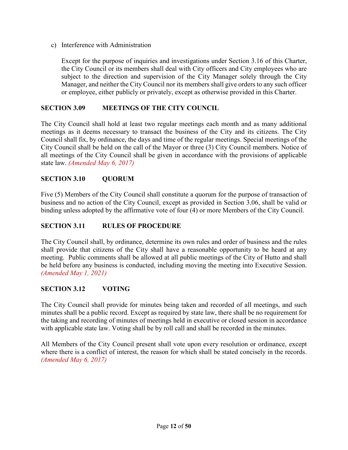c) Interference with Administration

Except for the purpose of inquiries and investigations under Section 3.16 of this Charter, the City Council or its members shall deal with City officers and City employees who are subject to the direction and supervision of the City Manager solely through the City Manager, and neither the City Council nor its members shall give orders to any such officer or employee, either publicly or privately, except as otherwise provided in this Charter.

## <span id="page-11-0"></span>**SECTION 3.09 MEETINGS OF THE CITY COUNCIL**

The City Council shall hold at least two regular meetings each month and as many additional meetings as it deems necessary to transact the business of the City and its citizens. The City Council shall fix, by ordinance, the days and time of the regular meetings. Special meetings of the City Council shall be held on the call of the Mayor or three (3) City Council members. Notice of all meetings of the City Council shall be given in accordance with the provisions of applicable state law. *(Amended May 6, 2017)*

#### <span id="page-11-1"></span>**SECTION 3.10 QUORUM**

Five (5) Members of the City Council shall constitute a quorum for the purpose of transaction of business and no action of the City Council, except as provided in Section 3.06, shall be valid or binding unless adopted by the affirmative vote of four (4) or more Members of the City Council.

#### <span id="page-11-2"></span>**SECTION 3.11 RULES OF PROCEDURE**

The City Council shall, by ordinance, determine its own rules and order of business and the rules shall provide that citizens of the City shall have a reasonable opportunity to be heard at any meeting. Public comments shall be allowed at all public meetings of the City of Hutto and shall be held before any business is conducted, including moving the meeting into Executive Session. *(Amended May 1, 2021)*

## <span id="page-11-3"></span>**SECTION 3.12 VOTING**

The City Council shall provide for minutes being taken and recorded of all meetings, and such minutes shall be a public record. Except as required by state law, there shall be no requirement for the taking and recording of minutes of meetings held in executive or closed session in accordance with applicable state law. Voting shall be by roll call and shall be recorded in the minutes.

All Members of the City Council present shall vote upon every resolution or ordinance, except where there is a conflict of interest, the reason for which shall be stated concisely in the records. *(Amended May 6, 2017)*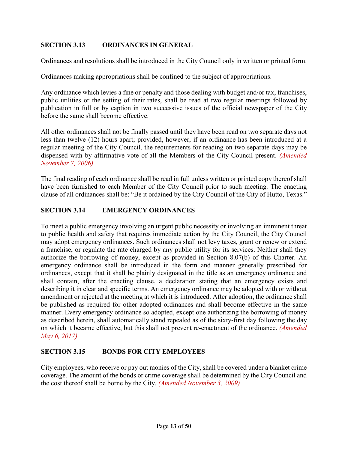## <span id="page-12-0"></span>**SECTION 3.13 ORDINANCES IN GENERAL**

Ordinances and resolutions shall be introduced in the City Council only in written or printed form.

Ordinances making appropriations shall be confined to the subject of appropriations.

Any ordinance which levies a fine or penalty and those dealing with budget and/or tax, franchises, public utilities or the setting of their rates, shall be read at two regular meetings followed by publication in full or by caption in two successive issues of the official newspaper of the City before the same shall become effective.

All other ordinances shall not be finally passed until they have been read on two separate days not less than twelve (12) hours apart; provided, however, if an ordinance has been introduced at a regular meeting of the City Council, the requirements for reading on two separate days may be dispensed with by affirmative vote of all the Members of the City Council present. *(Amended November 7, 2006)*

The final reading of each ordinance shall be read in full unless written or printed copy thereof shall have been furnished to each Member of the City Council prior to such meeting. The enacting clause of all ordinances shall be: "Be it ordained by the City Council of the City of Hutto, Texas."

#### <span id="page-12-1"></span>**SECTION 3.14 EMERGENCY ORDINANCES**

To meet a public emergency involving an urgent public necessity or involving an imminent threat to public health and safety that requires immediate action by the City Council, the City Council may adopt emergency ordinances. Such ordinances shall not levy taxes, grant or renew or extend a franchise, or regulate the rate charged by any public utility for its services. Neither shall they authorize the borrowing of money, except as provided in Section 8.07(b) of this Charter. An emergency ordinance shall be introduced in the form and manner generally prescribed for ordinances, except that it shall be plainly designated in the title as an emergency ordinance and shall contain, after the enacting clause, a declaration stating that an emergency exists and describing it in clear and specific terms. An emergency ordinance may be adopted with or without amendment or rejected at the meeting at which it is introduced. After adoption, the ordinance shall be published as required for other adopted ordinances and shall become effective in the same manner. Every emergency ordinance so adopted, except one authorizing the borrowing of money as described herein, shall automatically stand repealed as of the sixty-first day following the day on which it became effective, but this shall not prevent re-enactment of the ordinance. *(Amended May 6, 2017)*

## <span id="page-12-2"></span>**SECTION 3.15 BONDS FOR CITY EMPLOYEES**

<span id="page-12-3"></span>City employees, who receive or pay out monies of the City, shall be covered under a blanket crime coverage. The amount of the bonds or crime coverage shall be determined by the City Council and the cost thereof shall be borne by the City. *(Amended November 3, 2009)*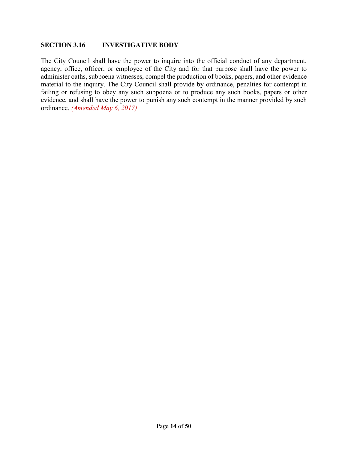#### **SECTION 3.16 INVESTIGATIVE BODY**

The City Council shall have the power to inquire into the official conduct of any department, agency, office, officer, or employee of the City and for that purpose shall have the power to administer oaths, subpoena witnesses, compel the production of books, papers, and other evidence material to the inquiry. The City Council shall provide by ordinance, penalties for contempt in failing or refusing to obey any such subpoena or to produce any such books, papers or other evidence, and shall have the power to punish any such contempt in the manner provided by such ordinance. *(Amended May 6, 2017)*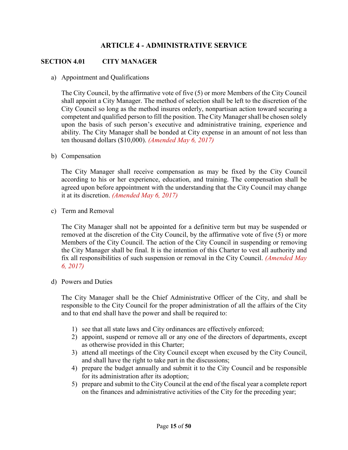## **ARTICLE 4 - ADMINISTRATIVE SERVICE**

#### <span id="page-14-1"></span><span id="page-14-0"></span>**SECTION 4.01 CITY MANAGER**

a) Appointment and Qualifications

The City Council, by the affirmative vote of five (5) or more Members of the City Council shall appoint a City Manager. The method of selection shall be left to the discretion of the City Council so long as the method insures orderly, nonpartisan action toward securing a competent and qualified person to fill the position. The City Manager shall be chosen solely upon the basis of such person's executive and administrative training, experience and ability. The City Manager shall be bonded at City expense in an amount of not less than ten thousand dollars (\$10,000). *(Amended May 6, 2017)*

b) Compensation

The City Manager shall receive compensation as may be fixed by the City Council according to his or her experience, education, and training. The compensation shall be agreed upon before appointment with the understanding that the City Council may change it at its discretion. *(Amended May 6, 2017)*

c) Term and Removal

The City Manager shall not be appointed for a definitive term but may be suspended or removed at the discretion of the City Council, by the affirmative vote of five (5) or more Members of the City Council. The action of the City Council in suspending or removing the City Manager shall be final. It is the intention of this Charter to vest all authority and fix all responsibilities of such suspension or removal in the City Council. *(Amended May 6, 2017)*

d) Powers and Duties

The City Manager shall be the Chief Administrative Officer of the City, and shall be responsible to the City Council for the proper administration of all the affairs of the City and to that end shall have the power and shall be required to:

- 1) see that all state laws and City ordinances are effectively enforced;
- 2) appoint, suspend or remove all or any one of the directors of departments, except as otherwise provided in this Charter;
- 3) attend all meetings of the City Council except when excused by the City Council, and shall have the right to take part in the discussions;
- 4) prepare the budget annually and submit it to the City Council and be responsible for its administration after its adoption;
- 5) prepare and submit to the City Council at the end of the fiscal year a complete report on the finances and administrative activities of the City for the preceding year;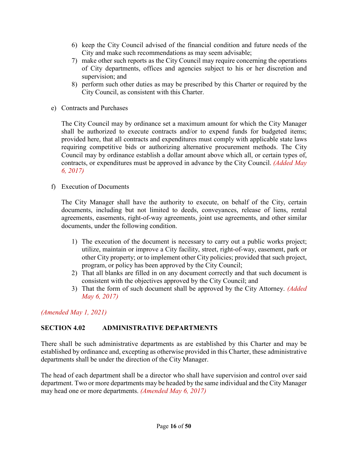- 6) keep the City Council advised of the financial condition and future needs of the City and make such recommendations as may seem advisable;
- 7) make other such reports as the City Council may require concerning the operations of City departments, offices and agencies subject to his or her discretion and supervision; and
- 8) perform such other duties as may be prescribed by this Charter or required by the City Council, as consistent with this Charter.
- e) Contracts and Purchases

The City Council may by ordinance set a maximum amount for which the City Manager shall be authorized to execute contracts and/or to expend funds for budgeted items; provided here, that all contracts and expenditures must comply with applicable state laws requiring competitive bids or authorizing alternative procurement methods. The City Council may by ordinance establish a dollar amount above which all, or certain types of, contracts, or expenditures must be approved in advance by the City Council. *(Added May 6, 2017)*

f) Execution of Documents

The City Manager shall have the authority to execute, on behalf of the City, certain documents, including but not limited to deeds, conveyances, release of liens, rental agreements, easements, right-of-way agreements, joint use agreements, and other similar documents, under the following condition.

- 1) The execution of the document is necessary to carry out a public works project; utilize, maintain or improve a City facility, street, right-of-way, easement, park or other City property; or to implement other City policies; provided that such project, program, or policy has been approved by the City Council;
- 2) That all blanks are filled in on any document correctly and that such document is consistent with the objectives approved by the City Council; and
- 3) That the form of such document shall be approved by the City Attorney. *(Added May 6, 2017)*

*(Amended May 1, 2021)*

## <span id="page-15-0"></span>**SECTION 4.02 ADMINISTRATIVE DEPARTMENTS**

There shall be such administrative departments as are established by this Charter and may be established by ordinance and, excepting as otherwise provided in this Charter, these administrative departments shall be under the direction of the City Manager.

The head of each department shall be a director who shall have supervision and control over said department. Two or more departments may be headed by the same individual and the City Manager may head one or more departments. *(Amended May 6, 2017)*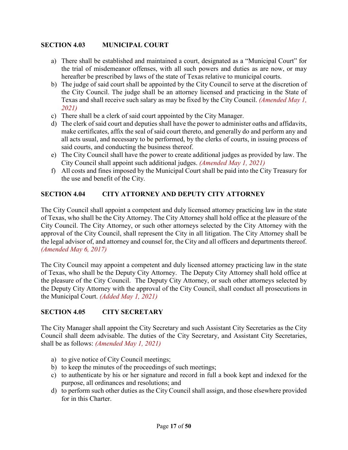## <span id="page-16-0"></span>**SECTION 4.03 MUNICIPAL COURT**

- a) There shall be established and maintained a court, designated as a "Municipal Court" for the trial of misdemeanor offenses, with all such powers and duties as are now, or may hereafter be prescribed by laws of the state of Texas relative to municipal courts.
- b) The judge of said court shall be appointed by the City Council to serve at the discretion of the City Council. The judge shall be an attorney licensed and practicing in the State of Texas and shall receive such salary as may be fixed by the City Council. *(Amended May 1, 2021)*
- c) There shall be a clerk of said court appointed by the City Manager.
- d) The clerk of said court and deputies shall have the power to administer oaths and affidavits, make certificates, affix the seal of said court thereto, and generally do and perform any and all acts usual, and necessary to be performed, by the clerks of courts, in issuing process of said courts, and conducting the business thereof.
- e) The City Council shall have the power to create additional judges as provided by law. The City Council shall appoint such additional judges. *(Amended May 1, 2021)*
- f) All costs and fines imposed by the Municipal Court shall be paid into the City Treasury for the use and benefit of the City.

## <span id="page-16-1"></span>**SECTION 4.04 CITY ATTORNEY AND DEPUTY CITY ATTORNEY**

The City Council shall appoint a competent and duly licensed attorney practicing law in the state of Texas, who shall be the City Attorney. The City Attorney shall hold office at the pleasure of the City Council. The City Attorney, or such other attorneys selected by the City Attorney with the approval of the City Council, shall represent the City in all litigation. The City Attorney shall be the legal advisor of, and attorney and counsel for, the City and all officers and departments thereof. *(Amended May 6, 2017)*

The City Council may appoint a competent and duly licensed attorney practicing law in the state of Texas, who shall be the Deputy City Attorney. The Deputy City Attorney shall hold office at the pleasure of the City Council. The Deputy City Attorney, or such other attorneys selected by the Deputy City Attorney with the approval of the City Council, shall conduct all prosecutions in the Municipal Court. *(Added May 1, 2021)*

## <span id="page-16-2"></span>**SECTION 4.05 CITY SECRETARY**

The City Manager shall appoint the City Secretary and such Assistant City Secretaries as the City Council shall deem advisable. The duties of the City Secretary, and Assistant City Secretaries, shall be as follows: *(Amended May 1, 2021)*

- a) to give notice of City Council meetings;
- b) to keep the minutes of the proceedings of such meetings;
- c) to authenticate by his or her signature and record in full a book kept and indexed for the purpose, all ordinances and resolutions; and
- d) to perform such other duties as the City Council shall assign, and those elsewhere provided for in this Charter.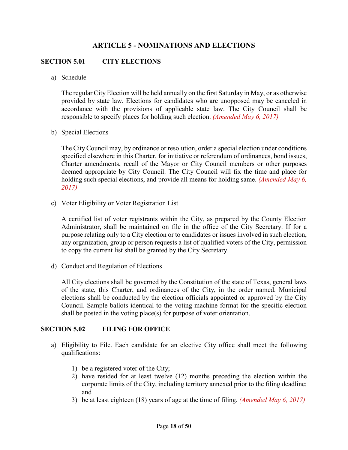## **ARTICLE 5 - NOMINATIONS AND ELECTIONS**

#### <span id="page-17-1"></span><span id="page-17-0"></span>**SECTION 5.01 CITY ELECTIONS**

a) Schedule

The regular City Election will be held annually on the first Saturday in May, or as otherwise provided by state law. Elections for candidates who are unopposed may be canceled in accordance with the provisions of applicable state law. The City Council shall be responsible to specify places for holding such election. *(Amended May 6, 2017)*

b) Special Elections

The City Council may, by ordinance or resolution, order a special election under conditions specified elsewhere in this Charter, for initiative or referendum of ordinances, bond issues, Charter amendments, recall of the Mayor or City Council members or other purposes deemed appropriate by City Council. The City Council will fix the time and place for holding such special elections, and provide all means for holding same. *(Amended May 6, 2017)*

c) Voter Eligibility or Voter Registration List

A certified list of voter registrants within the City, as prepared by the County Election Administrator, shall be maintained on file in the office of the City Secretary. If for a purpose relating only to a City election or to candidates or issues involved in such election, any organization, group or person requests a list of qualified voters of the City, permission to copy the current list shall be granted by the City Secretary.

d) Conduct and Regulation of Elections

All City elections shall be governed by the Constitution of the state of Texas, general laws of the state, this Charter, and ordinances of the City, in the order named. Municipal elections shall be conducted by the election officials appointed or approved by the City Council. Sample ballots identical to the voting machine format for the specific election shall be posted in the voting place(s) for purpose of voter orientation.

#### <span id="page-17-2"></span>**SECTION 5.02 FILING FOR OFFICE**

- a) Eligibility to File. Each candidate for an elective City office shall meet the following qualifications:
	- 1) be a registered voter of the City;
	- 2) have resided for at least twelve (12) months preceding the election within the corporate limits of the City, including territory annexed prior to the filing deadline; and
	- 3) be at least eighteen (18) years of age at the time of filing. *(Amended May 6, 2017)*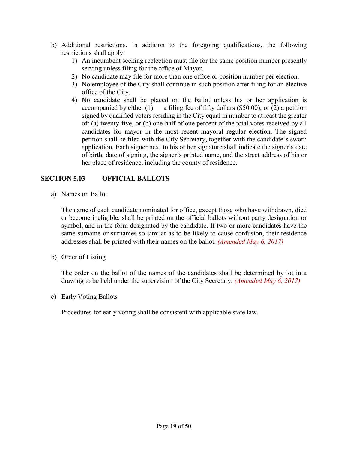- b) Additional restrictions. In addition to the foregoing qualifications, the following restrictions shall apply:
	- 1) An incumbent seeking reelection must file for the same position number presently serving unless filing for the office of Mayor.
	- 2) No candidate may file for more than one office or position number per election.
	- 3) No employee of the City shall continue in such position after filing for an elective office of the City.
	- 4) No candidate shall be placed on the ballot unless his or her application is accompanied by either  $(1)$  a filing fee of fifty dollars (\$50.00), or  $(2)$  a petition signed by qualified voters residing in the City equal in number to at least the greater of: (a) twenty-five, or (b) one-half of one percent of the total votes received by all candidates for mayor in the most recent mayoral regular election. The signed petition shall be filed with the City Secretary, together with the candidate's sworn application. Each signer next to his or her signature shall indicate the signer's date of birth, date of signing, the signer's printed name, and the street address of his or her place of residence, including the county of residence.

## <span id="page-18-0"></span>**SECTION 5.03 OFFICIAL BALLOTS**

a) Names on Ballot

The name of each candidate nominated for office, except those who have withdrawn, died or become ineligible, shall be printed on the official ballots without party designation or symbol, and in the form designated by the candidate. If two or more candidates have the same surname or surnames so similar as to be likely to cause confusion, their residence addresses shall be printed with their names on the ballot. *(Amended May 6, 2017)*

b) Order of Listing

The order on the ballot of the names of the candidates shall be determined by lot in a drawing to be held under the supervision of the City Secretary. *(Amended May 6, 2017)*

c) Early Voting Ballots

Procedures for early voting shall be consistent with applicable state law.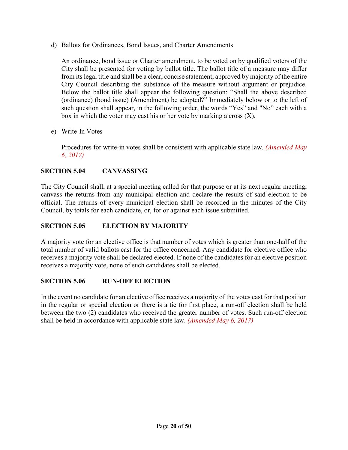d) Ballots for Ordinances, Bond Issues, and Charter Amendments

An ordinance, bond issue or Charter amendment, to be voted on by qualified voters of the City shall be presented for voting by ballot title. The ballot title of a measure may differ from its legal title and shall be a clear, concise statement, approved by majority of the entire City Council describing the substance of the measure without argument or prejudice. Below the ballot title shall appear the following question: "Shall the above described (ordinance) (bond issue) (Amendment) be adopted?" Immediately below or to the left of such question shall appear, in the following order, the words "Yes" and "No" each with a box in which the voter may cast his or her vote by marking a cross (X).

e) Write-In Votes

Procedures for write-in votes shall be consistent with applicable state law. *(Amended May 6, 2017)*

## <span id="page-19-0"></span>**SECTION 5.04 CANVASSING**

The City Council shall, at a special meeting called for that purpose or at its next regular meeting, canvass the returns from any municipal election and declare the results of said election to be official. The returns of every municipal election shall be recorded in the minutes of the City Council, by totals for each candidate, or, for or against each issue submitted.

## <span id="page-19-1"></span>**SECTION 5.05 ELECTION BY MAJORITY**

A majority vote for an elective office is that number of votes which is greater than one-half of the total number of valid ballots cast for the office concerned. Any candidate for elective office who receives a majority vote shall be declared elected. If none of the candidates for an elective position receives a majority vote, none of such candidates shall be elected.

## <span id="page-19-2"></span>**SECTION 5.06 RUN-OFF ELECTION**

In the event no candidate for an elective office receives a majority of the votes cast for that position in the regular or special election or there is a tie for first place, a run-off election shall be held between the two (2) candidates who received the greater number of votes. Such run-off election shall be held in accordance with applicable state law. *(Amended May 6, 2017)*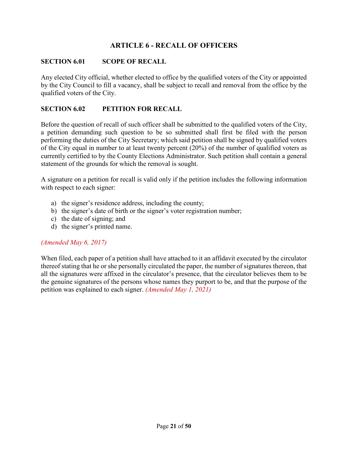## **ARTICLE 6 - RECALL OF OFFICERS**

#### <span id="page-20-1"></span><span id="page-20-0"></span>**SECTION 6.01 SCOPE OF RECALL**

Any elected City official, whether elected to office by the qualified voters of the City or appointed by the City Council to fill a vacancy, shall be subject to recall and removal from the office by the qualified voters of the City.

#### <span id="page-20-2"></span>**SECTION 6.02 PETITION FOR RECALL**

Before the question of recall of such officer shall be submitted to the qualified voters of the City, a petition demanding such question to be so submitted shall first be filed with the person performing the duties of the City Secretary; which said petition shall be signed by qualified voters of the City equal in number to at least twenty percent (20%) of the number of qualified voters as currently certified to by the County Elections Administrator. Such petition shall contain a general statement of the grounds for which the removal is sought.

A signature on a petition for recall is valid only if the petition includes the following information with respect to each signer:

- a) the signer's residence address, including the county;
- b) the signer's date of birth or the signer's voter registration number;
- c) the date of signing; and
- d) the signer's printed name.

#### *(Amended May 6, 2017)*

When filed, each paper of a petition shall have attached to it an affidavit executed by the circulator thereof stating that he or she personally circulated the paper, the number of signatures thereon, that all the signatures were affixed in the circulator's presence, that the circulator believes them to be the genuine signatures of the persons whose names they purport to be, and that the purpose of the petition was explained to each signer. *(Amended May 1, 2021)*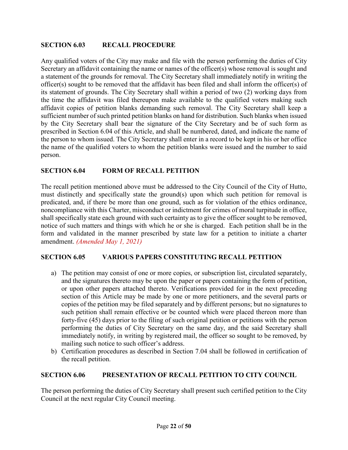## <span id="page-21-0"></span>**SECTION 6.03 RECALL PROCEDURE**

Any qualified voters of the City may make and file with the person performing the duties of City Secretary an affidavit containing the name or names of the officer(s) whose removal is sought and a statement of the grounds for removal. The City Secretary shall immediately notify in writing the officer(s) sought to be removed that the affidavit has been filed and shall inform the officer(s) of its statement of grounds. The City Secretary shall within a period of two (2) working days from the time the affidavit was filed thereupon make available to the qualified voters making such affidavit copies of petition blanks demanding such removal. The City Secretary shall keep a sufficient number of such printed petition blanks on hand for distribution. Such blanks when issued by the City Secretary shall bear the signature of the City Secretary and be of such form as prescribed in Section 6.04 of this Article, and shall be numbered, dated, and indicate the name of the person to whom issued. The City Secretary shall enter in a record to be kept in his or her office the name of the qualified voters to whom the petition blanks were issued and the number to said person.

## <span id="page-21-1"></span>**SECTION 6.04 FORM OF RECALL PETITION**

The recall petition mentioned above must be addressed to the City Council of the City of Hutto, must distinctly and specifically state the ground(s) upon which such petition for removal is predicated, and, if there be more than one ground, such as for violation of the ethics ordinance, noncompliance with this Charter, misconduct or indictment for crimes of moral turpitude in office, shall specifically state each ground with such certainty as to give the officer sought to be removed, notice of such matters and things with which he or she is charged. Each petition shall be in the form and validated in the manner prescribed by state law for a petition to initiate a charter amendment. *(Amended May 1, 2021)*

## <span id="page-21-2"></span>**SECTION 6.05 VARIOUS PAPERS CONSTITUTING RECALL PETITION**

- a) The petition may consist of one or more copies, or subscription list, circulated separately, and the signatures thereto may be upon the paper or papers containing the form of petition, or upon other papers attached thereto. Verifications provided for in the next preceding section of this Article may be made by one or more petitioners, and the several parts or copies of the petition may be filed separately and by different persons; but no signatures to such petition shall remain effective or be counted which were placed thereon more than forty-five (45) days prior to the filing of such original petition or petitions with the person performing the duties of City Secretary on the same day, and the said Secretary shall immediately notify, in writing by registered mail, the officer so sought to be removed, by mailing such notice to such officer's address.
- b) Certification procedures as described in Section 7.04 shall be followed in certification of the recall petition.

## <span id="page-21-3"></span>**SECTION 6.06 PRESENTATION OF RECALL PETITION TO CITY COUNCIL**

The person performing the duties of City Secretary shall present such certified petition to the City Council at the next regular City Council meeting.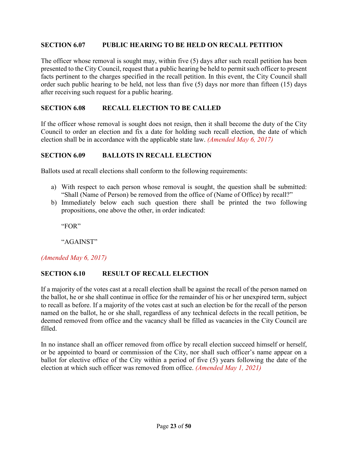#### <span id="page-22-0"></span>**SECTION 6.07 PUBLIC HEARING TO BE HELD ON RECALL PETITION**

The officer whose removal is sought may, within five (5) days after such recall petition has been presented to the City Council, request that a public hearing be held to permit such officer to present facts pertinent to the charges specified in the recall petition. In this event, the City Council shall order such public hearing to be held, not less than five (5) days nor more than fifteen (15) days after receiving such request for a public hearing.

## <span id="page-22-1"></span>**SECTION 6.08 RECALL ELECTION TO BE CALLED**

If the officer whose removal is sought does not resign, then it shall become the duty of the City Council to order an election and fix a date for holding such recall election, the date of which election shall be in accordance with the applicable state law. *(Amended May 6, 2017)*

#### <span id="page-22-2"></span>**SECTION 6.09 BALLOTS IN RECALL ELECTION**

Ballots used at recall elections shall conform to the following requirements:

- a) With respect to each person whose removal is sought, the question shall be submitted: "Shall (Name of Person) be removed from the office of (Name of Office) by recall?"
- b) Immediately below each such question there shall be printed the two following propositions, one above the other, in order indicated:

"FOR"

"AGAINST"

#### *(Amended May 6, 2017)*

#### <span id="page-22-3"></span>**SECTION 6.10 RESULT OF RECALL ELECTION**

If a majority of the votes cast at a recall election shall be against the recall of the person named on the ballot, he or she shall continue in office for the remainder of his or her unexpired term, subject to recall as before. If a majority of the votes cast at such an election be for the recall of the person named on the ballot, he or she shall, regardless of any technical defects in the recall petition, be deemed removed from office and the vacancy shall be filled as vacancies in the City Council are filled.

In no instance shall an officer removed from office by recall election succeed himself or herself, or be appointed to board or commission of the City, nor shall such officer's name appear on a ballot for elective office of the City within a period of five (5) years following the date of the election at which such officer was removed from office. *(Amended May 1, 2021)*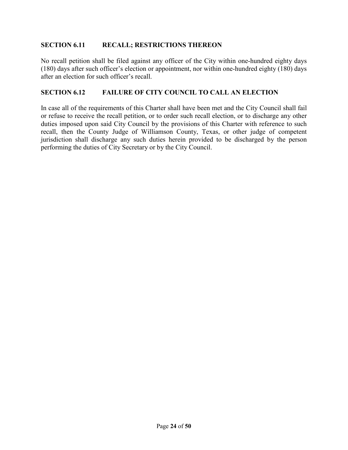## <span id="page-23-0"></span>**SECTION 6.11 RECALL; RESTRICTIONS THEREON**

No recall petition shall be filed against any officer of the City within one-hundred eighty days (180) days after such officer's election or appointment, nor within one-hundred eighty (180) days after an election for such officer's recall.

#### <span id="page-23-1"></span>**SECTION 6.12 FAILURE OF CITY COUNCIL TO CALL AN ELECTION**

In case all of the requirements of this Charter shall have been met and the City Council shall fail or refuse to receive the recall petition, or to order such recall election, or to discharge any other duties imposed upon said City Council by the provisions of this Charter with reference to such recall, then the County Judge of Williamson County, Texas, or other judge of competent jurisdiction shall discharge any such duties herein provided to be discharged by the person performing the duties of City Secretary or by the City Council.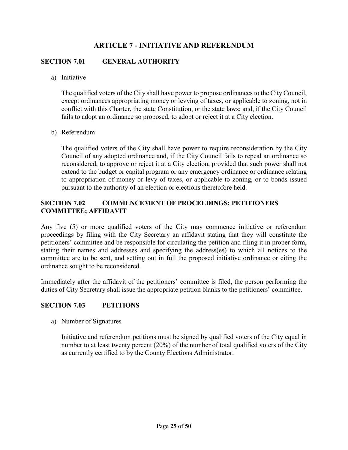## **ARTICLE 7 - INITIATIVE AND REFERENDUM**

## <span id="page-24-1"></span><span id="page-24-0"></span>**SECTION 7.01 GENERAL AUTHORITY**

a) Initiative

The qualified voters of the City shall have power to propose ordinances to the City Council, except ordinances appropriating money or levying of taxes, or applicable to zoning, not in conflict with this Charter, the state Constitution, or the state laws; and, if the City Council fails to adopt an ordinance so proposed, to adopt or reject it at a City election.

b) Referendum

The qualified voters of the City shall have power to require reconsideration by the City Council of any adopted ordinance and, if the City Council fails to repeal an ordinance so reconsidered, to approve or reject it at a City election, provided that such power shall not extend to the budget or capital program or any emergency ordinance or ordinance relating to appropriation of money or levy of taxes, or applicable to zoning, or to bonds issued pursuant to the authority of an election or elections theretofore held.

## <span id="page-24-2"></span>**SECTION 7.02 COMMENCEMENT OF PROCEEDINGS; PETITIONERS COMMITTEE; AFFIDAVIT**

Any five (5) or more qualified voters of the City may commence initiative or referendum proceedings by filing with the City Secretary an affidavit stating that they will constitute the petitioners' committee and be responsible for circulating the petition and filing it in proper form, stating their names and addresses and specifying the address(es) to which all notices to the committee are to be sent, and setting out in full the proposed initiative ordinance or citing the ordinance sought to be reconsidered.

Immediately after the affidavit of the petitioners' committee is filed, the person performing the duties of City Secretary shall issue the appropriate petition blanks to the petitioners' committee.

#### <span id="page-24-3"></span>**SECTION 7.03 PETITIONS**

a) Number of Signatures

Initiative and referendum petitions must be signed by qualified voters of the City equal in number to at least twenty percent (20%) of the number of total qualified voters of the City as currently certified to by the County Elections Administrator.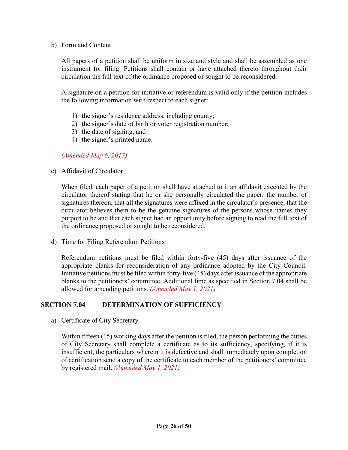#### b) Form and Content

All papers of a petition shall be uniform in size and style and shall be assembled as one instrument for filing. Petitions shall contain or have attached thereto throughout their circulation the full text of the ordinance proposed or sought to be reconsidered.

A signature on a petition for initiative or referendum is valid only if the petition includes the following information with respect to each signer:

- 1) the signer's residence address, including county;
- 2) the signer's date of birth or voter registration number;
- 3) the date of signing; and
- 4) the signer's printed name.

*(Amended May 6, 2017)*

c) Affidavit of Circulator

When filed, each paper of a petition shall have attached to it an affidavit executed by the circulator thereof stating that he or she personally circulated the paper, the number of signatures thereon, that all the signatures were affixed in the circulator's presence, that the circulator believes them to be the genuine signatures of the persons whose names they purport to be and that each signer had an opportunity before signing to read the full text of the ordinance proposed or sought to be reconsidered.

d) Time for Filing Referendum Petitions

Referendum petitions must be filed within forty-five (45) days after issuance of the appropriate blanks for reconsideration of any ordinance adopted by the City Council. Initiative petitions must be filed within forty-five (45) days after issuance of the appropriate blanks to the petitioners' committee. Additional time as specified in Section 7.04 shall be allowed for amending petitions. *(Amended May 1, 2021)*

## <span id="page-25-0"></span>**SECTION 7.04 DETERMINATION OF SUFFICIENCY**

a) Certificate of City Secretary

Within fifteen (15) working days after the petition is filed, the person performing the duties of City Secretary shall complete a certificate as to its sufficiency, specifying, if it is insufficient, the particulars wherein it is defective and shall immediately upon completion of certification send a copy of the certificate to each member of the petitioners' committee by registered mail. *(Amended May 1, 2021)*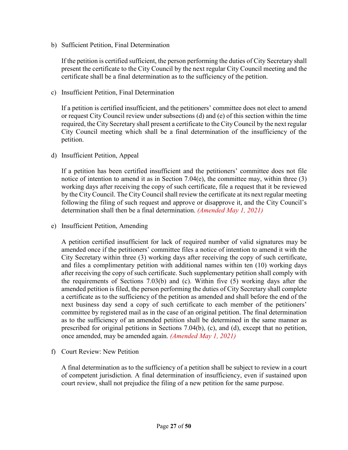b) Sufficient Petition, Final Determination

If the petition is certified sufficient, the person performing the duties of City Secretary shall present the certificate to the City Council by the next regular City Council meeting and the certificate shall be a final determination as to the sufficiency of the petition.

c) Insufficient Petition, Final Determination

If a petition is certified insufficient, and the petitioners' committee does not elect to amend or request City Council review under subsections (d) and (e) of this section within the time required, the City Secretary shall present a certificate to the City Council by the next regular City Council meeting which shall be a final determination of the insufficiency of the petition.

d) Insufficient Petition, Appeal

If a petition has been certified insufficient and the petitioners' committee does not file notice of intention to amend it as in Section 7.04 $(e)$ , the committee may, within three (3) working days after receiving the copy of such certificate, file a request that it be reviewed by the City Council. The City Council shall review the certificate at its next regular meeting following the filing of such request and approve or disapprove it, and the City Council's determination shall then be a final determination. *(Amended May 1, 2021)*

e) Insufficient Petition, Amending

A petition certified insufficient for lack of required number of valid signatures may be amended once if the petitioners' committee files a notice of intention to amend it with the City Secretary within three (3) working days after receiving the copy of such certificate, and files a complimentary petition with additional names within ten (10) working days after receiving the copy of such certificate. Such supplementary petition shall comply with the requirements of Sections 7.03(b) and (c). Within five (5) working days after the amended petition is filed, the person performing the duties of City Secretary shall complete a certificate as to the sufficiency of the petition as amended and shall before the end of the next business day send a copy of such certificate to each member of the petitioners' committee by registered mail as in the case of an original petition. The final determination as to the sufficiency of an amended petition shall be determined in the same manner as prescribed for original petitions in Sections 7.04(b), (c), and (d), except that no petition, once amended, may be amended again. *(Amended May 1, 2021)*

f) Court Review: New Petition

A final determination as to the sufficiency of a petition shall be subject to review in a court of competent jurisdiction. A final determination of insufficiency, even if sustained upon court review, shall not prejudice the filing of a new petition for the same purpose.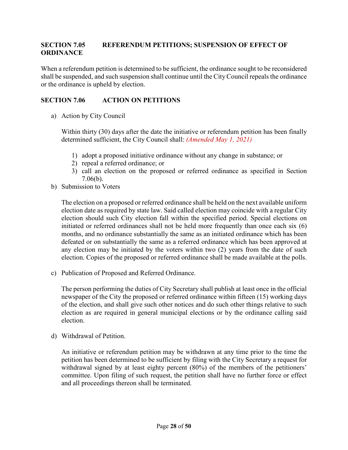## <span id="page-27-0"></span>**SECTION 7.05 REFERENDUM PETITIONS; SUSPENSION OF EFFECT OF ORDINANCE**

When a referendum petition is determined to be sufficient, the ordinance sought to be reconsidered shall be suspended, and such suspension shall continue until the City Council repeals the ordinance or the ordinance is upheld by election.

## <span id="page-27-1"></span>**SECTION 7.06 ACTION ON PETITIONS**

a) Action by City Council

Within thirty (30) days after the date the initiative or referendum petition has been finally determined sufficient, the City Council shall: *(Amended May 1, 2021)*

- 1) adopt a proposed initiative ordinance without any change in substance; or
- 2) repeal a referred ordinance; or
- 3) call an election on the proposed or referred ordinance as specified in Section 7.06(b).
- b) Submission to Voters

The election on a proposed or referred ordinance shall be held on the next available uniform election date as required by state law. Said called election may coincide with a regular City election should such City election fall within the specified period. Special elections on initiated or referred ordinances shall not be held more frequently than once each six (6) months, and no ordinance substantially the same as an initiated ordinance which has been defeated or on substantially the same as a referred ordinance which has been approved at any election may be initiated by the voters within two (2) years from the date of such election. Copies of the proposed or referred ordinance shall be made available at the polls.

c) Publication of Proposed and Referred Ordinance.

The person performing the duties of City Secretary shall publish at least once in the official newspaper of the City the proposed or referred ordinance within fifteen (15) working days of the election, and shall give such other notices and do such other things relative to such election as are required in general municipal elections or by the ordinance calling said election.

d) Withdrawal of Petition.

<span id="page-27-2"></span>An initiative or referendum petition may be withdrawn at any time prior to the time the petition has been determined to be sufficient by filing with the City Secretary a request for withdrawal signed by at least eighty percent (80%) of the members of the petitioners' committee. Upon filing of such request, the petition shall have no further force or effect and all proceedings thereon shall be terminated.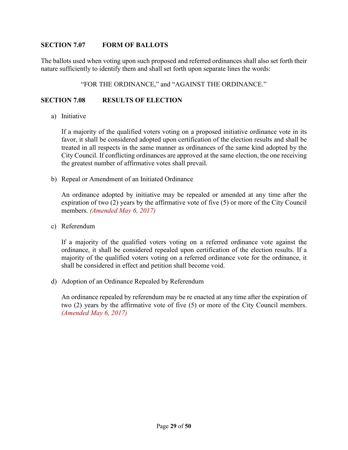#### **SECTION 7.07 FORM OF BALLOTS**

The ballots used when voting upon such proposed and referred ordinances shall also set forth their nature sufficiently to identify them and shall set forth upon separate lines the words:

#### "FOR THE ORDINANCE," and "AGAINST THE ORDINANCE."

#### <span id="page-28-0"></span>**SECTION 7.08 RESULTS OF ELECTION**

a) Initiative

If a majority of the qualified voters voting on a proposed initiative ordinance vote in its favor, it shall be considered adopted upon certification of the election results and shall be treated in all respects in the same manner as ordinances of the same kind adopted by the City Council. If conflicting ordinances are approved at the same election, the one receiving the greatest number of affirmative votes shall prevail.

b) Repeal or Amendment of an Initiated Ordinance

An ordinance adopted by initiative may be repealed or amended at any time after the expiration of two (2) years by the affirmative vote of five (5) or more of the City Council members. *(Amended May 6, 2017)*

c) Referendum

If a majority of the qualified voters voting on a referred ordinance vote against the ordinance, it shall be considered repealed upon certification of the election results. If a majority of the qualified voters voting on a referred ordinance vote for the ordinance, it shall be considered in effect and petition shall become void.

d) Adoption of an Ordinance Repealed by Referendum

An ordinance repealed by referendum may be re enacted at any time after the expiration of two (2) years by the affirmative vote of five (5) or more of the City Council members. *(Amended May 6, 2017)*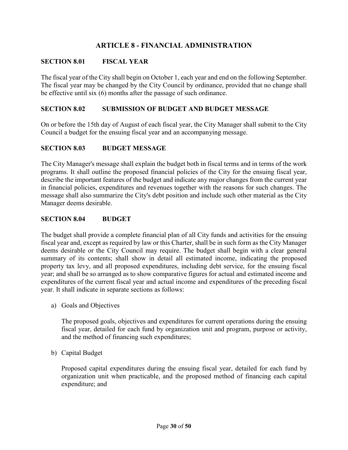## **ARTICLE 8 - FINANCIAL ADMINISTRATION**

## <span id="page-29-1"></span><span id="page-29-0"></span>**SECTION 8.01 FISCAL YEAR**

The fiscal year of the City shall begin on October 1, each year and end on the following September. The fiscal year may be changed by the City Council by ordinance, provided that no change shall be effective until six (6) months after the passage of such ordinance.

#### <span id="page-29-2"></span>**SECTION 8.02 SUBMISSION OF BUDGET AND BUDGET MESSAGE**

On or before the 15th day of August of each fiscal year, the City Manager shall submit to the City Council a budget for the ensuing fiscal year and an accompanying message.

## <span id="page-29-3"></span>**SECTION 8.03 BUDGET MESSAGE**

The City Manager's message shall explain the budget both in fiscal terms and in terms of the work programs. It shall outline the proposed financial policies of the City for the ensuing fiscal year, describe the important features of the budget and indicate any major changes from the current year in financial policies, expenditures and revenues together with the reasons for such changes. The message shall also summarize the City's debt position and include such other material as the City Manager deems desirable.

#### <span id="page-29-4"></span>**SECTION 8.04 BUDGET**

The budget shall provide a complete financial plan of all City funds and activities for the ensuing fiscal year and, except as required by law or this Charter, shall be in such form as the City Manager deems desirable or the City Council may require. The budget shall begin with a clear general summary of its contents; shall show in detail all estimated income, indicating the proposed property tax levy, and all proposed expenditures, including debt service, for the ensuing fiscal year; and shall be so arranged as to show comparative figures for actual and estimated income and expenditures of the current fiscal year and actual income and expenditures of the preceding fiscal year. It shall indicate in separate sections as follows:

a) Goals and Objectives

The proposed goals, objectives and expenditures for current operations during the ensuing fiscal year, detailed for each fund by organization unit and program, purpose or activity, and the method of financing such expenditures;

b) Capital Budget

Proposed capital expenditures during the ensuing fiscal year, detailed for each fund by organization unit when practicable, and the proposed method of financing each capital expenditure; and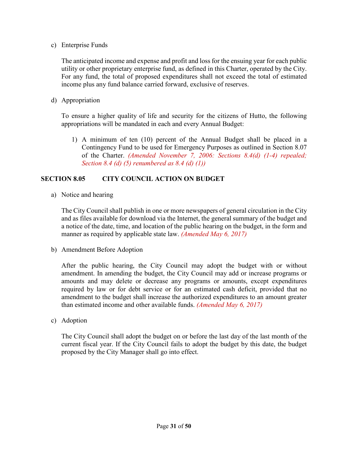c) Enterprise Funds

The anticipated income and expense and profit and loss for the ensuing year for each public utility or other proprietary enterprise fund, as defined in this Charter, operated by the City. For any fund, the total of proposed expenditures shall not exceed the total of estimated income plus any fund balance carried forward, exclusive of reserves.

d) Appropriation

To ensure a higher quality of life and security for the citizens of Hutto, the following appropriations will be mandated in each and every Annual Budget:

1) A minimum of ten (10) percent of the Annual Budget shall be placed in a Contingency Fund to be used for Emergency Purposes as outlined in Section 8.07 of the Charter. *(Amended November 7, 2006: Sections 8.4(d) (1-4) repealed; Section 8.4 (d) (5) renumbered as 8.4 (d) (1))*

#### <span id="page-30-0"></span>**SECTION 8.05 CITY COUNCIL ACTION ON BUDGET**

a) Notice and hearing

The City Council shall publish in one or more newspapers of general circulation in the City and as files available for download via the Internet, the general summary of the budget and a notice of the date, time, and location of the public hearing on the budget, in the form and manner as required by applicable state law. *(Amended May 6, 2017)*

b) Amendment Before Adoption

After the public hearing, the City Council may adopt the budget with or without amendment. In amending the budget, the City Council may add or increase programs or amounts and may delete or decrease any programs or amounts, except expenditures required by law or for debt service or for an estimated cash deficit, provided that no amendment to the budget shall increase the authorized expenditures to an amount greater than estimated income and other available funds. *(Amended May 6, 2017)*

c) Adoption

The City Council shall adopt the budget on or before the last day of the last month of the current fiscal year. If the City Council fails to adopt the budget by this date, the budget proposed by the City Manager shall go into effect.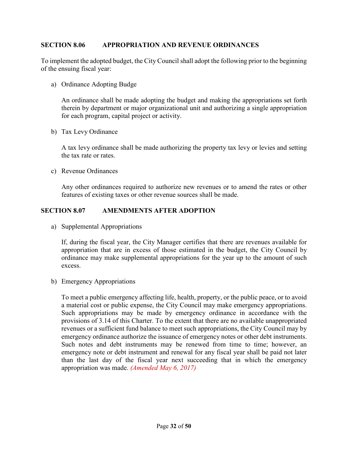#### <span id="page-31-0"></span>**SECTION 8.06 APPROPRIATION AND REVENUE ORDINANCES**

To implement the adopted budget, the City Council shall adopt the following prior to the beginning of the ensuing fiscal year:

a) Ordinance Adopting Budge

An ordinance shall be made adopting the budget and making the appropriations set forth therein by department or major organizational unit and authorizing a single appropriation for each program, capital project or activity.

b) Tax Levy Ordinance

A tax levy ordinance shall be made authorizing the property tax levy or levies and setting the tax rate or rates.

c) Revenue Ordinances

Any other ordinances required to authorize new revenues or to amend the rates or other features of existing taxes or other revenue sources shall be made.

#### <span id="page-31-1"></span>**SECTION 8.07 AMENDMENTS AFTER ADOPTION**

a) Supplemental Appropriations

If, during the fiscal year, the City Manager certifies that there are revenues available for appropriation that are in excess of those estimated in the budget, the City Council by ordinance may make supplemental appropriations for the year up to the amount of such excess.

b) Emergency Appropriations

To meet a public emergency affecting life, health, property, or the public peace, or to avoid a material cost or public expense, the City Council may make emergency appropriations. Such appropriations may be made by emergency ordinance in accordance with the provisions of 3.14 of this Charter. To the extent that there are no available unappropriated revenues or a sufficient fund balance to meet such appropriations, the City Council may by emergency ordinance authorize the issuance of emergency notes or other debt instruments. Such notes and debt instruments may be renewed from time to time; however, an emergency note or debt instrument and renewal for any fiscal year shall be paid not later than the last day of the fiscal year next succeeding that in which the emergency appropriation was made. *(Amended May 6, 2017)*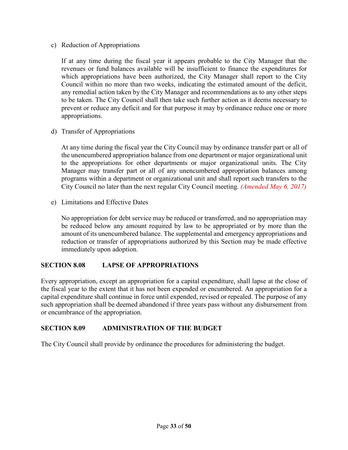c) Reduction of Appropriations

If at any time during the fiscal year it appears probable to the City Manager that the revenues or fund balances available will be insufficient to finance the expenditures for which appropriations have been authorized, the City Manager shall report to the City Council within no more than two weeks, indicating the estimated amount of the deficit, any remedial action taken by the City Manager and recommendations as to any other steps to be taken. The City Council shall then take such further action as it deems necessary to prevent or reduce any deficit and for that purpose it may by ordinance reduce one or more appropriations.

d) Transfer of Appropriations

At any time during the fiscal year the City Council may by ordinance transfer part or all of the unencumbered appropriation balance from one department or major organizational unit to the appropriations for other departments or major organizational units. The City Manager may transfer part or all of any unencumbered appropriation balances among programs within a department or organizational unit and shall report such transfers to the City Council no later than the next regular City Council meeting. *(Amended May 6, 2017)*

e) Limitations and Effective Dates

No appropriation for debt service may be reduced or transferred, and no appropriation may be reduced below any amount required by law to be appropriated or by more than the amount of its unencumbered balance. The supplemental and emergency appropriations and reduction or transfer of appropriations authorized by this Section may be made effective immediately upon adoption.

## <span id="page-32-0"></span>**SECTION 8.08 LAPSE OF APPROPRIATIONS**

Every appropriation, except an appropriation for a capital expenditure, shall lapse at the close of the fiscal year to the extent that it has not been expended or encumbered. An appropriation for a capital expenditure shall continue in force until expended, revised or repealed. The purpose of any such appropriation shall be deemed abandoned if three years pass without any disbursement from or encumbrance of the appropriation.

## <span id="page-32-1"></span>**SECTION 8.09 ADMINISTRATION OF THE BUDGET**

The City Council shall provide by ordinance the procedures for administering the budget.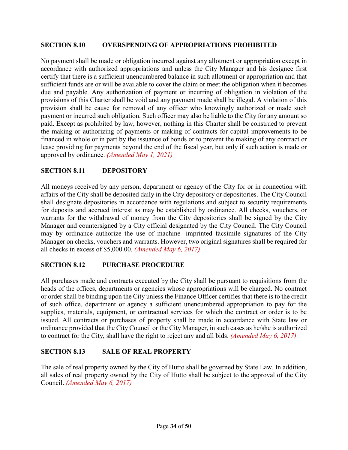#### <span id="page-33-0"></span>**SECTION 8.10 OVERSPENDING OF APPROPRIATIONS PROHIBITED**

No payment shall be made or obligation incurred against any allotment or appropriation except in accordance with authorized appropriations and unless the City Manager and his designee first certify that there is a sufficient unencumbered balance in such allotment or appropriation and that sufficient funds are or will be available to cover the claim or meet the obligation when it becomes due and payable. Any authorization of payment or incurring of obligation in violation of the provisions of this Charter shall be void and any payment made shall be illegal. A violation of this provision shall be cause for removal of any officer who knowingly authorized or made such payment or incurred such obligation. Such officer may also be liable to the City for any amount so paid. Except as prohibited by law, however, nothing in this Charter shall be construed to prevent the making or authorizing of payments or making of contracts for capital improvements to be financed in whole or in part by the issuance of bonds or to prevent the making of any contract or lease providing for payments beyond the end of the fiscal year, but only if such action is made or approved by ordinance. *(Amended May 1, 2021)*

#### <span id="page-33-1"></span>**SECTION 8.11 DEPOSITORY**

All moneys received by any person, department or agency of the City for or in connection with affairs of the City shall be deposited daily in the City depository or depositories. The City Council shall designate depositories in accordance with regulations and subject to security requirements for deposits and accrued interest as may be established by ordinance. All checks, vouchers, or warrants for the withdrawal of money from the City depositories shall be signed by the City Manager and countersigned by a City official designated by the City Council. The City Council may by ordinance authorize the use of machine- imprinted facsimile signatures of the City Manager on checks, vouchers and warrants. However, two original signatures shall be required for all checks in excess of \$5,000.00. *(Amended May 6, 2017)*

## <span id="page-33-2"></span>**SECTION 8.12 PURCHASE PROCEDURE**

All purchases made and contracts executed by the City shall be pursuant to requisitions from the heads of the offices, departments or agencies whose appropriations will be charged. No contract or order shall be binding upon the City unless the Finance Officer certifies that there is to the credit of such office, department or agency a sufficient unencumbered appropriation to pay for the supplies, materials, equipment, or contractual services for which the contract or order is to be issued. All contracts or purchases of property shall be made in accordance with State law or ordinance provided that the City Council or the City Manager, in such cases as he/she is authorized to contract for the City, shall have the right to reject any and all bids. *(Amended May 6, 2017)*

## <span id="page-33-3"></span>**SECTION 8.13 SALE OF REAL PROPERTY**

<span id="page-33-4"></span>The sale of real property owned by the City of Hutto shall be governed by State Law. In addition, all sales of real property owned by the City of Hutto shall be subject to the approval of the City Council. *(Amended May 6, 2017)*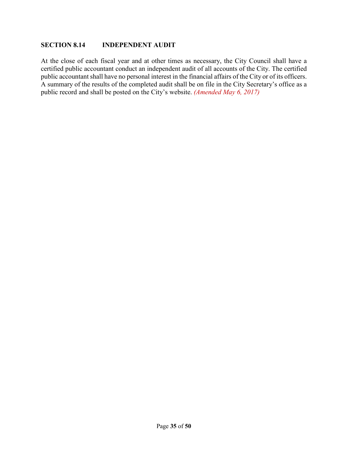#### **SECTION 8.14 INDEPENDENT AUDIT**

At the close of each fiscal year and at other times as necessary, the City Council shall have a certified public accountant conduct an independent audit of all accounts of the City. The certified public accountant shall have no personal interest in the financial affairs of the City or of its officers. A summary of the results of the completed audit shall be on file in the City Secretary's office as a public record and shall be posted on the City's website. *(Amended May 6, 2017)*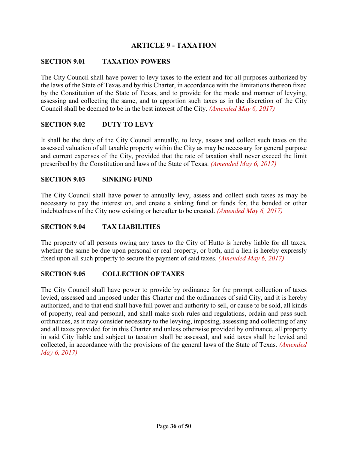## **ARTICLE 9 - TAXATION**

## <span id="page-35-1"></span><span id="page-35-0"></span>**SECTION 9.01 TAXATION POWERS**

The City Council shall have power to levy taxes to the extent and for all purposes authorized by the laws of the State of Texas and by this Charter, in accordance with the limitations thereon fixed by the Constitution of the State of Texas, and to provide for the mode and manner of levying, assessing and collecting the same, and to apportion such taxes as in the discretion of the City Council shall be deemed to be in the best interest of the City. *(Amended May 6, 2017)*

#### <span id="page-35-2"></span>**SECTION 9.02 DUTY TO LEVY**

It shall be the duty of the City Council annually, to levy, assess and collect such taxes on the assessed valuation of all taxable property within the City as may be necessary for general purpose and current expenses of the City, provided that the rate of taxation shall never exceed the limit prescribed by the Constitution and laws of the State of Texas. *(Amended May 6, 2017)*

#### <span id="page-35-3"></span>**SECTION 9.03 SINKING FUND**

The City Council shall have power to annually levy, assess and collect such taxes as may be necessary to pay the interest on, and create a sinking fund or funds for, the bonded or other indebtedness of the City now existing or hereafter to be created. *(Amended May 6, 2017)*

#### <span id="page-35-4"></span>**SECTION 9.04 TAX LIABILITIES**

The property of all persons owing any taxes to the City of Hutto is hereby liable for all taxes, whether the same be due upon personal or real property, or both, and a lien is hereby expressly fixed upon all such property to secure the payment of said taxes. *(Amended May 6, 2017)*

#### <span id="page-35-5"></span>**SECTION 9.05 COLLECTION OF TAXES**

The City Council shall have power to provide by ordinance for the prompt collection of taxes levied, assessed and imposed under this Charter and the ordinances of said City, and it is hereby authorized, and to that end shall have full power and authority to sell, or cause to be sold, all kinds of property, real and personal, and shall make such rules and regulations, ordain and pass such ordinances, as it may consider necessary to the levying, imposing, assessing and collecting of any and all taxes provided for in this Charter and unless otherwise provided by ordinance, all property in said City liable and subject to taxation shall be assessed, and said taxes shall be levied and collected, in accordance with the provisions of the general laws of the State of Texas. *(Amended May 6, 2017)*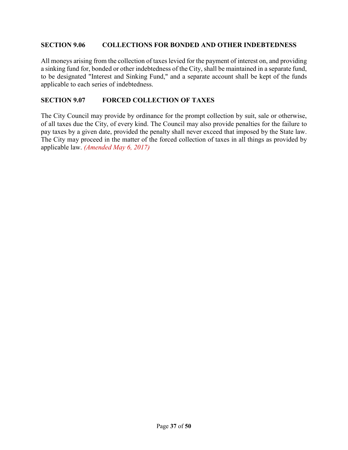#### <span id="page-36-0"></span>**SECTION 9.06 COLLECTIONS FOR BONDED AND OTHER INDEBTEDNESS**

All moneys arising from the collection of taxes levied for the payment of interest on, and providing a sinking fund for, bonded or other indebtedness of the City, shall be maintained in a separate fund, to be designated "Interest and Sinking Fund," and a separate account shall be kept of the funds applicable to each series of indebtedness.

## <span id="page-36-1"></span>**SECTION 9.07 FORCED COLLECTION OF TAXES**

The City Council may provide by ordinance for the prompt collection by suit, sale or otherwise, of all taxes due the City, of every kind. The Council may also provide penalties for the failure to pay taxes by a given date, provided the penalty shall never exceed that imposed by the State law. The City may proceed in the matter of the forced collection of taxes in all things as provided by applicable law. *(Amended May 6, 2017)*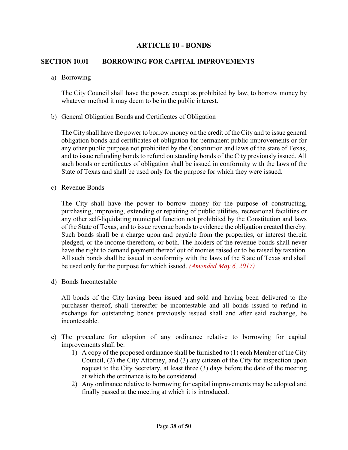## **ARTICLE 10 - BONDS**

#### <span id="page-37-1"></span><span id="page-37-0"></span>**SECTION 10.01 BORROWING FOR CAPITAL IMPROVEMENTS**

a) Borrowing

The City Council shall have the power, except as prohibited by law, to borrow money by whatever method it may deem to be in the public interest.

b) General Obligation Bonds and Certificates of Obligation

The City shall have the power to borrow money on the credit of the City and to issue general obligation bonds and certificates of obligation for permanent public improvements or for any other public purpose not prohibited by the Constitution and laws of the state of Texas, and to issue refunding bonds to refund outstanding bonds of the City previously issued. All such bonds or certificates of obligation shall be issued in conformity with the laws of the State of Texas and shall be used only for the purpose for which they were issued.

c) Revenue Bonds

The City shall have the power to borrow money for the purpose of constructing, purchasing, improving, extending or repairing of public utilities, recreational facilities or any other self-liquidating municipal function not prohibited by the Constitution and laws of the State of Texas, and to issue revenue bonds to evidence the obligation created thereby. Such bonds shall be a charge upon and payable from the properties, or interest therein pledged, or the income therefrom, or both. The holders of the revenue bonds shall never have the right to demand payment thereof out of monies raised or to be raised by taxation. All such bonds shall be issued in conformity with the laws of the State of Texas and shall be used only for the purpose for which issued. *(Amended May 6, 2017)*

d) Bonds Incontestable

All bonds of the City having been issued and sold and having been delivered to the purchaser thereof, shall thereafter be incontestable and all bonds issued to refund in exchange for outstanding bonds previously issued shall and after said exchange, be incontestable.

- e) The procedure for adoption of any ordinance relative to borrowing for capital improvements shall be:
	- 1) A copy of the proposed ordinance shall be furnished to (1) each Member of the City Council, (2) the City Attorney, and (3) any citizen of the City for inspection upon request to the City Secretary, at least three (3) days before the date of the meeting at which the ordinance is to be considered.
	- 2) Any ordinance relative to borrowing for capital improvements may be adopted and finally passed at the meeting at which it is introduced.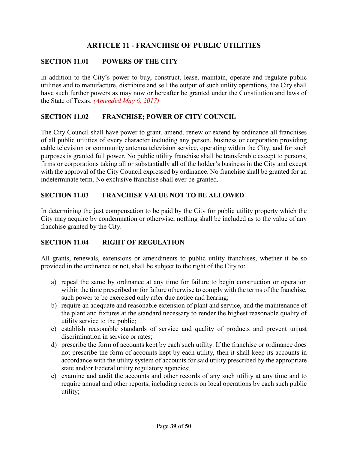## **ARTICLE 11 - FRANCHISE OF PUBLIC UTILITIES**

## <span id="page-38-1"></span><span id="page-38-0"></span>**SECTION 11.01 POWERS OF THE CITY**

In addition to the City's power to buy, construct, lease, maintain, operate and regulate public utilities and to manufacture, distribute and sell the output of such utility operations, the City shall have such further powers as may now or hereafter be granted under the Constitution and laws of the State of Texas. *(Amended May 6, 2017)*

#### <span id="page-38-2"></span>**SECTION 11.02 FRANCHISE; POWER OF CITY COUNCIL**

The City Council shall have power to grant, amend, renew or extend by ordinance all franchises of all public utilities of every character including any person, business or corporation providing cable television or community antenna television service, operating within the City, and for such purposes is granted full power. No public utility franchise shall be transferable except to persons, firms or corporations taking all or substantially all of the holder's business in the City and except with the approval of the City Council expressed by ordinance. No franchise shall be granted for an indeterminate term. No exclusive franchise shall ever be granted.

## <span id="page-38-3"></span>**SECTION 11.03 FRANCHISE VALUE NOT TO BE ALLOWED**

In determining the just compensation to be paid by the City for public utility property which the City may acquire by condemnation or otherwise, nothing shall be included as to the value of any franchise granted by the City.

## <span id="page-38-4"></span>**SECTION 11.04 RIGHT OF REGULATION**

All grants, renewals, extensions or amendments to public utility franchises, whether it be so provided in the ordinance or not, shall be subject to the right of the City to:

- a) repeal the same by ordinance at any time for failure to begin construction or operation within the time prescribed or for failure otherwise to comply with the terms of the franchise, such power to be exercised only after due notice and hearing;
- b) require an adequate and reasonable extension of plant and service, and the maintenance of the plant and fixtures at the standard necessary to render the highest reasonable quality of utility service to the public;
- c) establish reasonable standards of service and quality of products and prevent unjust discrimination in service or rates;
- d) prescribe the form of accounts kept by each such utility. If the franchise or ordinance does not prescribe the form of accounts kept by each utility, then it shall keep its accounts in accordance with the utility system of accounts for said utility prescribed by the appropriate state and/or Federal utility regulatory agencies;
- e) examine and audit the accounts and other records of any such utility at any time and to require annual and other reports, including reports on local operations by each such public utility;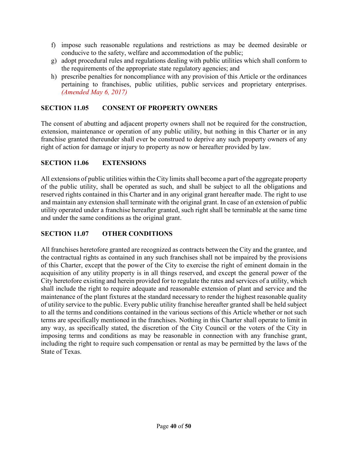- f) impose such reasonable regulations and restrictions as may be deemed desirable or conducive to the safety, welfare and accommodation of the public;
- g) adopt procedural rules and regulations dealing with public utilities which shall conform to the requirements of the appropriate state regulatory agencies; and
- h) prescribe penalties for noncompliance with any provision of this Article or the ordinances pertaining to franchises, public utilities, public services and proprietary enterprises. *(Amended May 6, 2017)*

## <span id="page-39-0"></span>**SECTION 11.05 CONSENT OF PROPERTY OWNERS**

The consent of abutting and adjacent property owners shall not be required for the construction, extension, maintenance or operation of any public utility, but nothing in this Charter or in any franchise granted thereunder shall ever be construed to deprive any such property owners of any right of action for damage or injury to property as now or hereafter provided by law.

## <span id="page-39-1"></span>**SECTION 11.06 EXTENSIONS**

All extensions of public utilities within the City limits shall become a part of the aggregate property of the public utility, shall be operated as such, and shall be subject to all the obligations and reserved rights contained in this Charter and in any original grant hereafter made. The right to use and maintain any extension shall terminate with the original grant. In case of an extension of public utility operated under a franchise hereafter granted, such right shall be terminable at the same time and under the same conditions as the original grant.

## <span id="page-39-2"></span>**SECTION 11.07 OTHER CONDITIONS**

All franchises heretofore granted are recognized as contracts between the City and the grantee, and the contractual rights as contained in any such franchises shall not be impaired by the provisions of this Charter, except that the power of the City to exercise the right of eminent domain in the acquisition of any utility property is in all things reserved, and except the general power of the City heretofore existing and herein provided for to regulate the rates and services of a utility, which shall include the right to require adequate and reasonable extension of plant and service and the maintenance of the plant fixtures at the standard necessary to render the highest reasonable quality of utility service to the public. Every public utility franchise hereafter granted shall be held subject to all the terms and conditions contained in the various sections of this Article whether or not such terms are specifically mentioned in the franchises. Nothing in this Charter shall operate to limit in any way, as specifically stated, the discretion of the City Council or the voters of the City in imposing terms and conditions as may be reasonable in connection with any franchise grant, including the right to require such compensation or rental as may be permitted by the laws of the State of Texas.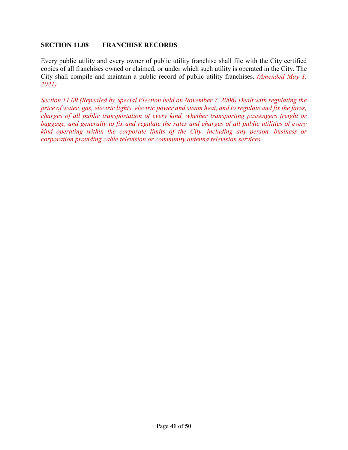#### <span id="page-40-0"></span>**SECTION 11.08 FRANCHISE RECORDS**

Every public utility and every owner of public utility franchise shall file with the City certified copies of all franchises owned or claimed, or under which such utility is operated in the City. The City shall compile and maintain a public record of public utility franchises. *(Amended May 1, 2021)*

*Section 11.09 (Repealed by Special Election held on November 7, 2006) Dealt with regulating the price of water, gas, electric lights, electric power and steam heat, and to regulate and fix the fares, charges of all public transportation of every kind, whether transporting passengers freight or baggage, and generally to fix and regulate the rates and charges of all public utilities of every kind operating within the corporate limits of the City, including any person, business or corporation providing cable television or community antenna television services.*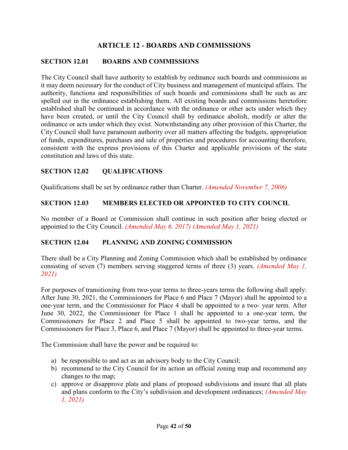## **ARTICLE 12 - BOARDS AND COMMISSIONS**

## <span id="page-41-1"></span><span id="page-41-0"></span>**SECTION 12.01 BOARDS AND COMMISSIONS**

The City Council shall have authority to establish by ordinance such boards and commissions as it may deem necessary for the conduct of City business and management of municipal affairs. The authority, functions and responsibilities of such boards and commissions shall be such as are spelled out in the ordinance establishing them. All existing boards and commissions heretofore established shall be continued in accordance with the ordinance or other acts under which they have been created, or until the City Council shall by ordinance abolish, modify or alter the ordinance or acts under which they exist. Notwithstanding any other provision of this Charter, the City Council shall have paramount authority over all matters affecting the budgets, appropriation of funds, expenditures, purchases and sale of properties and procedures for accounting therefore, consistent with the express provisions of this Charter and applicable provisions of the state constitution and laws of this state.

## <span id="page-41-2"></span>**SECTION 12.02 QUALIFICATIONS**

Qualifications shall be set by ordinance rather than Charter. *(Amended November 7, 2006)*

#### <span id="page-41-3"></span>**SECTION 12.03 MEMBERS ELECTED OR APPOINTED TO CITY COUNCIL**

No member of a Board or Commission shall continue in such position after being elected or appointed to the City Council. *(Amended May 6, 2017) (Amended May 1, 2021)*

#### <span id="page-41-4"></span>**SECTION 12.04 PLANNING AND ZONING COMMISSION**

There shall be a City Planning and Zoning Commission which shall be established by ordinance consisting of seven (7) members serving staggered terms of three (3) years. *(Amended May 1, 2021)*

For purposes of transitioning from two-year terms to three-years terms the following shall apply: After June 30, 2021, the Commissioners for Place 6 and Place 7 (Mayor) shall be appointed to a one-year term, and the Commissioner for Place 4 shall be appointed to a two- year term. After June 30, 2022, the Commissioner for Place 1 shall be appointed to a one-year term, the Commissioners for Place 2 and Place 5 shall be appointed to two-year terms, and the Commissioners for Place 3, Place 6, and Place 7 (Mayor) shall be appointed to three-year terms.

The Commission shall have the power and be required to:

- a) be responsible to and act as an advisory body to the City Council;
- b) recommend to the City Council for its action an official zoning map and recommend any changes to the map;
- c) approve or disapprove plats and plans of proposed subdivisions and insure that all plats and plans conform to the City's subdivision and development ordinances; *(Amended May 1, 2021)*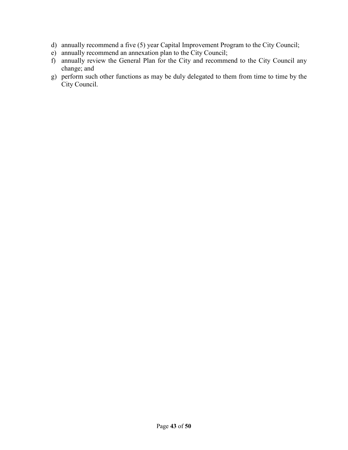- d) annually recommend a five (5) year Capital Improvement Program to the City Council;
- e) annually recommend an annexation plan to the City Council;
- f) annually review the General Plan for the City and recommend to the City Council any change; and
- g) perform such other functions as may be duly delegated to them from time to time by the City Council.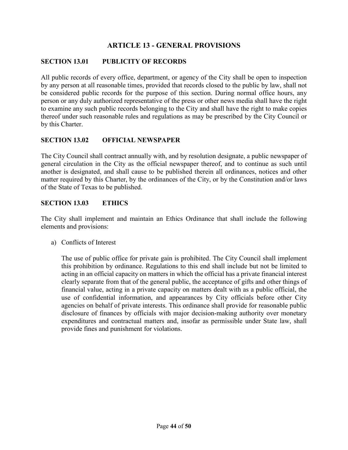## **ARTICLE 13 - GENERAL PROVISIONS**

#### <span id="page-43-1"></span><span id="page-43-0"></span>**SECTION 13.01 PUBLICITY OF RECORDS**

All public records of every office, department, or agency of the City shall be open to inspection by any person at all reasonable times, provided that records closed to the public by law, shall not be considered public records for the purpose of this section. During normal office hours, any person or any duly authorized representative of the press or other news media shall have the right to examine any such public records belonging to the City and shall have the right to make copies thereof under such reasonable rules and regulations as may be prescribed by the City Council or by this Charter.

#### <span id="page-43-2"></span>**SECTION 13.02 OFFICIAL NEWSPAPER**

The City Council shall contract annually with, and by resolution designate, a public newspaper of general circulation in the City as the official newspaper thereof, and to continue as such until another is designated, and shall cause to be published therein all ordinances, notices and other matter required by this Charter, by the ordinances of the City, or by the Constitution and/or laws of the State of Texas to be published.

#### <span id="page-43-3"></span>**SECTION 13.03 ETHICS**

The City shall implement and maintain an Ethics Ordinance that shall include the following elements and provisions:

a) Conflicts of Interest

The use of public office for private gain is prohibited. The City Council shall implement this prohibition by ordinance. Regulations to this end shall include but not be limited to acting in an official capacity on matters in which the official has a private financial interest clearly separate from that of the general public, the acceptance of gifts and other things of financial value, acting in a private capacity on matters dealt with as a public official, the use of confidential information, and appearances by City officials before other City agencies on behalf of private interests. This ordinance shall provide for reasonable public disclosure of finances by officials with major decision-making authority over monetary expenditures and contractual matters and, insofar as permissible under State law, shall provide fines and punishment for violations.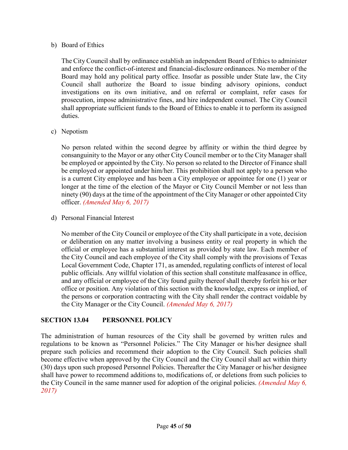#### b) Board of Ethics

The City Council shall by ordinance establish an independent Board of Ethics to administer and enforce the conflict-of-interest and financial-disclosure ordinances. No member of the Board may hold any political party office. Insofar as possible under State law, the City Council shall authorize the Board to issue binding advisory opinions, conduct investigations on its own initiative, and on referral or complaint, refer cases for prosecution, impose administrative fines, and hire independent counsel. The City Council shall appropriate sufficient funds to the Board of Ethics to enable it to perform its assigned duties.

c) Nepotism

No person related within the second degree by affinity or within the third degree by consanguinity to the Mayor or any other City Council member or to the City Manager shall be employed or appointed by the City. No person so related to the Director of Finance shall be employed or appointed under him/her. This prohibition shall not apply to a person who is a current City employee and has been a City employee or appointee for one (1) year or longer at the time of the election of the Mayor or City Council Member or not less than ninety (90) days at the time of the appointment of the City Manager or other appointed City officer. *(Amended May 6, 2017)*

d) Personal Financial Interest

No member of the City Council or employee of the City shall participate in a vote, decision or deliberation on any matter involving a business entity or real property in which the official or employee has a substantial interest as provided by state law. Each member of the City Council and each employee of the City shall comply with the provisions of Texas Local Government Code, Chapter 171, as amended, regulating conflicts of interest of local public officials. Any willful violation of this section shall constitute malfeasance in office, and any official or employee of the City found guilty thereof shall thereby forfeit his or her office or position. Any violation of this section with the knowledge, express or implied, of the persons or corporation contracting with the City shall render the contract voidable by the City Manager or the City Council. *(Amended May 6, 2017)*

## <span id="page-44-0"></span>**SECTION 13.04 PERSONNEL POLICY**

The administration of human resources of the City shall be governed by written rules and regulations to be known as "Personnel Policies." The City Manager or his/her designee shall prepare such policies and recommend their adoption to the City Council. Such policies shall become effective when approved by the City Council and the City Council shall act within thirty (30) days upon such proposed Personnel Policies. Thereafter the City Manager or his/her designee shall have power to recommend additions to, modifications of, or deletions from such policies to the City Council in the same manner used for adoption of the original policies. *(Amended May 6, 2017)*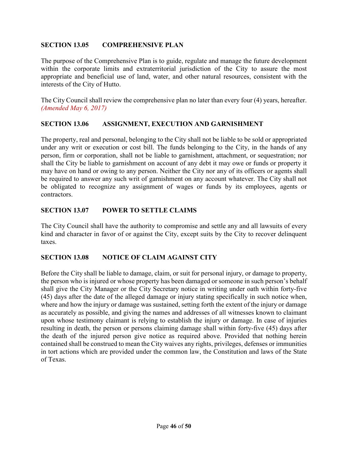## <span id="page-45-0"></span>**SECTION 13.05 COMPREHENSIVE PLAN**

The purpose of the Comprehensive Plan is to guide, regulate and manage the future development within the corporate limits and extraterritorial jurisdiction of the City to assure the most appropriate and beneficial use of land, water, and other natural resources, consistent with the interests of the City of Hutto.

The City Council shall review the comprehensive plan no later than every four (4) years, hereafter. *(Amended May 6, 2017)*

## <span id="page-45-1"></span>**SECTION 13.06 ASSIGNMENT, EXECUTION AND GARNISHMENT**

The property, real and personal, belonging to the City shall not be liable to be sold or appropriated under any writ or execution or cost bill. The funds belonging to the City, in the hands of any person, firm or corporation, shall not be liable to garnishment, attachment, or sequestration; nor shall the City be liable to garnishment on account of any debt it may owe or funds or property it may have on hand or owing to any person. Neither the City nor any of its officers or agents shall be required to answer any such writ of garnishment on any account whatever. The City shall not be obligated to recognize any assignment of wages or funds by its employees, agents or contractors.

#### <span id="page-45-2"></span>**SECTION 13.07 POWER TO SETTLE CLAIMS**

The City Council shall have the authority to compromise and settle any and all lawsuits of every kind and character in favor of or against the City, except suits by the City to recover delinquent taxes.

## <span id="page-45-3"></span>**SECTION 13.08 NOTICE OF CLAIM AGAINST CITY**

Before the City shall be liable to damage, claim, or suit for personal injury, or damage to property, the person who is injured or whose property has been damaged or someone in such person's behalf shall give the City Manager or the City Secretary notice in writing under oath within forty-five (45) days after the date of the alleged damage or injury stating specifically in such notice when, where and how the injury or damage was sustained, setting forth the extent of the injury or damage as accurately as possible, and giving the names and addresses of all witnesses known to claimant upon whose testimony claimant is relying to establish the injury or damage. In case of injuries resulting in death, the person or persons claiming damage shall within forty-five (45) days after the death of the injured person give notice as required above. Provided that nothing herein contained shall be construed to mean the City waives any rights, privileges, defenses or immunities in tort actions which are provided under the common law, the Constitution and laws of the State of Texas.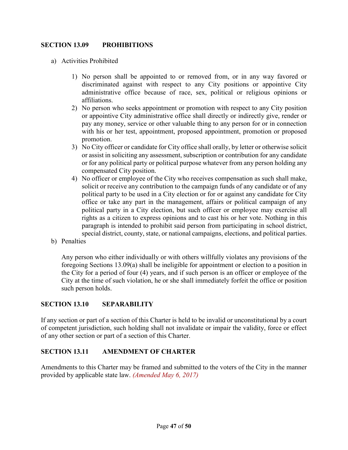## <span id="page-46-0"></span>**SECTION 13.09 PROHIBITIONS**

- a) Activities Prohibited
	- 1) No person shall be appointed to or removed from, or in any way favored or discriminated against with respect to any City positions or appointive City administrative office because of race, sex, political or religious opinions or affiliations.
	- 2) No person who seeks appointment or promotion with respect to any City position or appointive City administrative office shall directly or indirectly give, render or pay any money, service or other valuable thing to any person for or in connection with his or her test, appointment, proposed appointment, promotion or proposed promotion.
	- 3) No City officer or candidate for City office shall orally, by letter or otherwise solicit or assist in soliciting any assessment, subscription or contribution for any candidate or for any political party or political purpose whatever from any person holding any compensated City position.
	- 4) No officer or employee of the City who receives compensation as such shall make, solicit or receive any contribution to the campaign funds of any candidate or of any political party to be used in a City election or for or against any candidate for City office or take any part in the management, affairs or political campaign of any political party in a City election, but such officer or employee may exercise all rights as a citizen to express opinions and to cast his or her vote. Nothing in this paragraph is intended to prohibit said person from participating in school district, special district, county, state, or national campaigns, elections, and political parties.
- b) Penalties

Any person who either individually or with others willfully violates any provisions of the foregoing Sections 13.09(a) shall be ineligible for appointment or election to a position in the City for a period of four (4) years, and if such person is an officer or employee of the City at the time of such violation, he or she shall immediately forfeit the office or position such person holds.

## <span id="page-46-1"></span>**SECTION 13.10 SEPARABILITY**

If any section or part of a section of this Charter is held to be invalid or unconstitutional by a court of competent jurisdiction, such holding shall not invalidate or impair the validity, force or effect of any other section or part of a section of this Charter.

## <span id="page-46-2"></span>**SECTION 13.11 AMENDMENT OF CHARTER**

Amendments to this Charter may be framed and submitted to the voters of the City in the manner provided by applicable state law. *(Amended May 6, 2017)*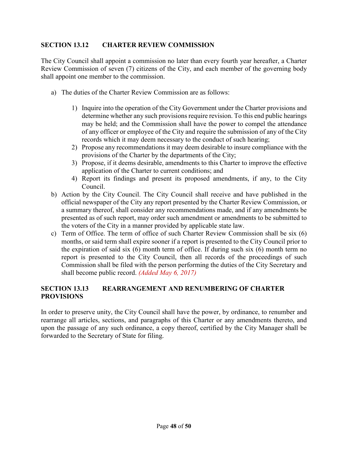## <span id="page-47-0"></span>**SECTION 13.12 CHARTER REVIEW COMMISSION**

The City Council shall appoint a commission no later than every fourth year hereafter, a Charter Review Commission of seven (7) citizens of the City, and each member of the governing body shall appoint one member to the commission.

- a) The duties of the Charter Review Commission are as follows:
	- 1) Inquire into the operation of the City Government under the Charter provisions and determine whether any such provisions require revision. To this end public hearings may be held; and the Commission shall have the power to compel the attendance of any officer or employee of the City and require the submission of any of the City records which it may deem necessary to the conduct of such hearing;
	- 2) Propose any recommendations it may deem desirable to insure compliance with the provisions of the Charter by the departments of the City;
	- 3) Propose, if it deems desirable, amendments to this Charter to improve the effective application of the Charter to current conditions; and
	- 4) Report its findings and present its proposed amendments, if any, to the City Council.
- b) Action by the City Council. The City Council shall receive and have published in the official newspaper of the City any report presented by the Charter Review Commission, or a summary thereof, shall consider any recommendations made, and if any amendments be presented as of such report, may order such amendment or amendments to be submitted to the voters of the City in a manner provided by applicable state law.
- c) Term of Office. The term of office of such Charter Review Commission shall be six (6) months, or said term shall expire sooner if a report is presented to the City Council prior to the expiration of said six (6) month term of office. If during such six (6) month term no report is presented to the City Council, then all records of the proceedings of such Commission shall be filed with the person performing the duties of the City Secretary and shall become public record. *(Added May 6, 2017)*

## <span id="page-47-1"></span>**SECTION 13.13 REARRANGEMENT AND RENUMBERING OF CHARTER PROVISIONS**

In order to preserve unity, the City Council shall have the power, by ordinance, to renumber and rearrange all articles, sections, and paragraphs of this Charter or any amendments thereto, and upon the passage of any such ordinance, a copy thereof, certified by the City Manager shall be forwarded to the Secretary of State for filing.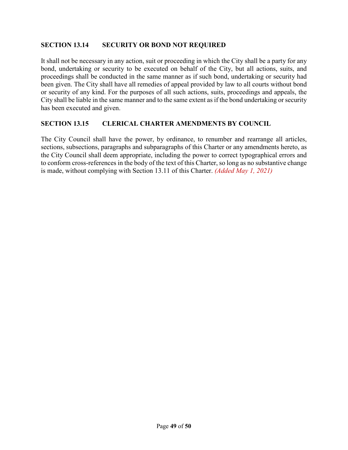## <span id="page-48-0"></span>**SECTION 13.14 SECURITY OR BOND NOT REQUIRED**

It shall not be necessary in any action, suit or proceeding in which the City shall be a party for any bond, undertaking or security to be executed on behalf of the City, but all actions, suits, and proceedings shall be conducted in the same manner as if such bond, undertaking or security had been given. The City shall have all remedies of appeal provided by law to all courts without bond or security of any kind. For the purposes of all such actions, suits, proceedings and appeals, the City shall be liable in the same manner and to the same extent as if the bond undertaking or security has been executed and given.

#### <span id="page-48-1"></span>**SECTION 13.15 CLERICAL CHARTER AMENDMENTS BY COUNCIL**

The City Council shall have the power, by ordinance, to renumber and rearrange all articles, sections, subsections, paragraphs and subparagraphs of this Charter or any amendments hereto, as the City Council shall deem appropriate, including the power to correct typographical errors and to conform cross-references in the body of the text of this Charter, so long as no substantive change is made, without complying with Section 13.11 of this Charter. *(Added May 1, 2021)*